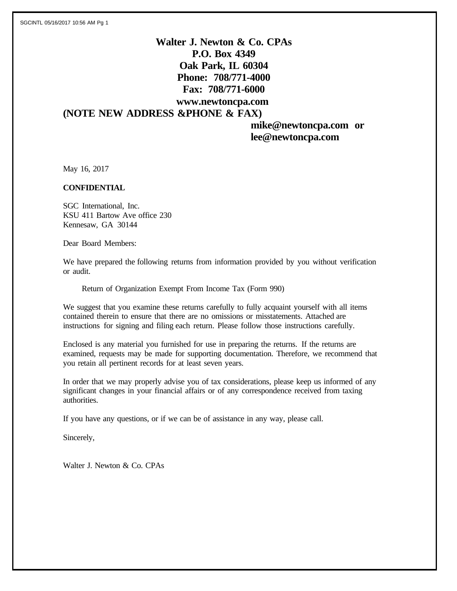# **Walter J. Newton & Co. CPAs P.O. Box 4349 Oak Park, IL 60304 Phone: 708/771-4000 Fax: 708/771-6000 www.newtoncpa.com (NOTE NEW ADDRESS &PHONE & FAX)**

 **mike@newtoncpa.com or lee@newtoncpa.com**

May 16, 2017

#### **CONFIDENTIAL**

SGC International, Inc. KSU 411 Bartow Ave office 230 Kennesaw, GA 30144

Dear Board Members:

We have prepared the following returns from information provided by you without verification or audit.

Return of Organization Exempt From Income Tax (Form 990)

We suggest that you examine these returns carefully to fully acquaint yourself with all items contained therein to ensure that there are no omissions or misstatements. Attached are instructions for signing and filing each return. Please follow those instructions carefully.

Enclosed is any material you furnished for use in preparing the returns. If the returns are examined, requests may be made for supporting documentation. Therefore, we recommend that you retain all pertinent records for at least seven years.

In order that we may properly advise you of tax considerations, please keep us informed of any significant changes in your financial affairs or of any correspondence received from taxing authorities.

If you have any questions, or if we can be of assistance in any way, please call.

Sincerely,

Walter J. Newton & Co. CPAs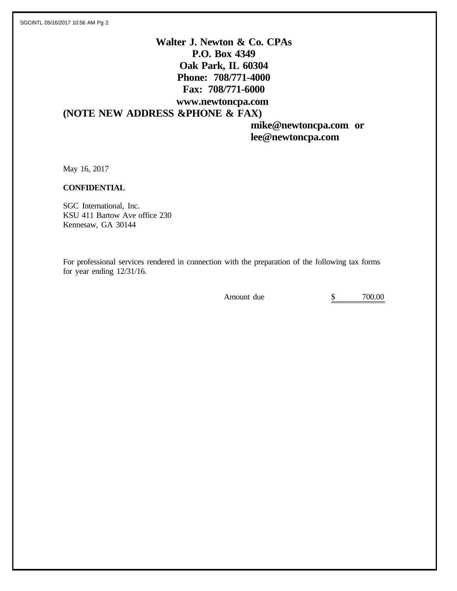# **Walter J. Newton & Co. CPAs P.O. Box 4349 Oak Park, IL 60304 Phone: 708/771-4000 Fax: 708/771-6000 www.newtoncpa.com (NOTE NEW ADDRESS &PHONE & FAX)**

 **mike@newtoncpa.com or lee@newtoncpa.com**

May 16, 2017

#### **CONFIDENTIAL**

SGC International, Inc. KSU 411 Bartow Ave office 230 Kennesaw, GA 30144

For professional services rendered in connection with the preparation of the following tax forms for year ending 12/31/16.

Amount due  $\qquad \qquad$  \$ 700.00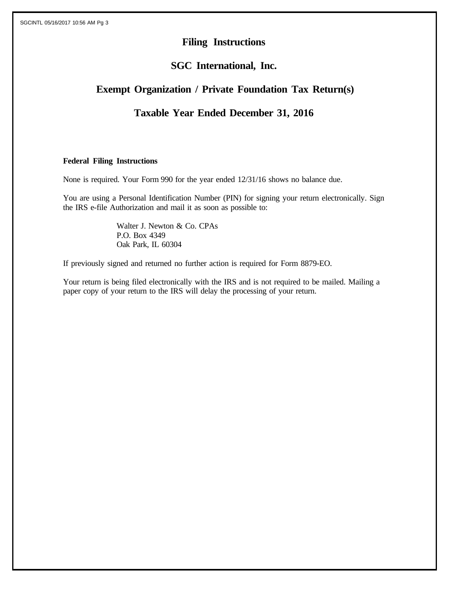# **Filing Instructions**

# **SGC International, Inc.**

# **Exempt Organization / Private Foundation Tax Return(s)**

# **Taxable Year Ended December 31, 2016**

### **Federal Filing Instructions**

None is required. Your Form 990 for the year ended 12/31/16 shows no balance due.

You are using a Personal Identification Number (PIN) for signing your return electronically. Sign the IRS e-file Authorization and mail it as soon as possible to:

> Walter J. Newton & Co. CPAs P.O. Box 4349 Oak Park, IL 60304

If previously signed and returned no further action is required for Form 8879-EO.

Your return is being filed electronically with the IRS and is not required to be mailed. Mailing a paper copy of your return to the IRS will delay the processing of your return.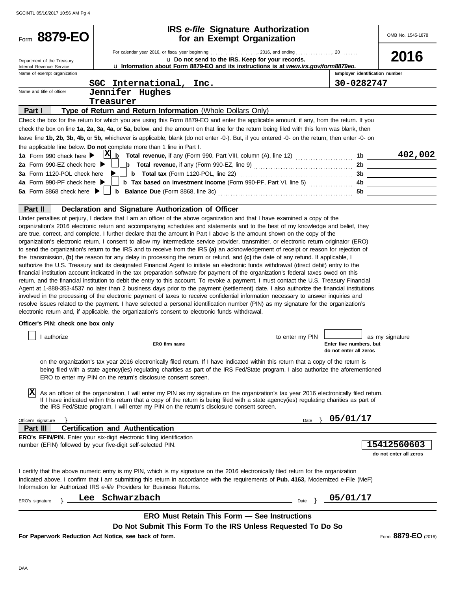| Form 8879-EO                                           | <b>IRS</b> e-file Signature Authorization<br>for an Exempt Organization                                                                                                                                                                                                                                                                                                                                                                                                                                                                                                                                                                                                                                                                                                                                                                                                                                                                                                                                                                                                                                                                                                                                                                                                                                                                                                                                                                                                                                              |                 |                                                   | OMB No. 1545-1878                     |
|--------------------------------------------------------|----------------------------------------------------------------------------------------------------------------------------------------------------------------------------------------------------------------------------------------------------------------------------------------------------------------------------------------------------------------------------------------------------------------------------------------------------------------------------------------------------------------------------------------------------------------------------------------------------------------------------------------------------------------------------------------------------------------------------------------------------------------------------------------------------------------------------------------------------------------------------------------------------------------------------------------------------------------------------------------------------------------------------------------------------------------------------------------------------------------------------------------------------------------------------------------------------------------------------------------------------------------------------------------------------------------------------------------------------------------------------------------------------------------------------------------------------------------------------------------------------------------------|-----------------|---------------------------------------------------|---------------------------------------|
|                                                        |                                                                                                                                                                                                                                                                                                                                                                                                                                                                                                                                                                                                                                                                                                                                                                                                                                                                                                                                                                                                                                                                                                                                                                                                                                                                                                                                                                                                                                                                                                                      |                 |                                                   |                                       |
|                                                        |                                                                                                                                                                                                                                                                                                                                                                                                                                                                                                                                                                                                                                                                                                                                                                                                                                                                                                                                                                                                                                                                                                                                                                                                                                                                                                                                                                                                                                                                                                                      |                 |                                                   | 2016                                  |
| Department of the Treasury<br>Internal Revenue Service | u Do not send to the IRS. Keep for your records.<br><b>u Information about Form 8879-EO and its instructions is at www.irs.gov/form8879eo.</b>                                                                                                                                                                                                                                                                                                                                                                                                                                                                                                                                                                                                                                                                                                                                                                                                                                                                                                                                                                                                                                                                                                                                                                                                                                                                                                                                                                       |                 |                                                   |                                       |
| Name of exempt organization                            |                                                                                                                                                                                                                                                                                                                                                                                                                                                                                                                                                                                                                                                                                                                                                                                                                                                                                                                                                                                                                                                                                                                                                                                                                                                                                                                                                                                                                                                                                                                      |                 | Employer identification number                    |                                       |
|                                                        | SGC International, Inc.                                                                                                                                                                                                                                                                                                                                                                                                                                                                                                                                                                                                                                                                                                                                                                                                                                                                                                                                                                                                                                                                                                                                                                                                                                                                                                                                                                                                                                                                                              |                 | 30-0282747                                        |                                       |
| Name and title of officer                              | Jennifer Hughes                                                                                                                                                                                                                                                                                                                                                                                                                                                                                                                                                                                                                                                                                                                                                                                                                                                                                                                                                                                                                                                                                                                                                                                                                                                                                                                                                                                                                                                                                                      |                 |                                                   |                                       |
|                                                        | Treasurer                                                                                                                                                                                                                                                                                                                                                                                                                                                                                                                                                                                                                                                                                                                                                                                                                                                                                                                                                                                                                                                                                                                                                                                                                                                                                                                                                                                                                                                                                                            |                 |                                                   |                                       |
| Part I                                                 | Type of Return and Return Information (Whole Dollars Only)                                                                                                                                                                                                                                                                                                                                                                                                                                                                                                                                                                                                                                                                                                                                                                                                                                                                                                                                                                                                                                                                                                                                                                                                                                                                                                                                                                                                                                                           |                 |                                                   |                                       |
|                                                        | Check the box for the return for which you are using this Form 8879-EO and enter the applicable amount, if any, from the return. If you                                                                                                                                                                                                                                                                                                                                                                                                                                                                                                                                                                                                                                                                                                                                                                                                                                                                                                                                                                                                                                                                                                                                                                                                                                                                                                                                                                              |                 |                                                   |                                       |
|                                                        | check the box on line 1a, 2a, 3a, 4a, or 5a, below, and the amount on that line for the return being filed with this form was blank, then                                                                                                                                                                                                                                                                                                                                                                                                                                                                                                                                                                                                                                                                                                                                                                                                                                                                                                                                                                                                                                                                                                                                                                                                                                                                                                                                                                            |                 |                                                   |                                       |
|                                                        | leave line 1b, 2b, 3b, 4b, or 5b, whichever is applicable, blank (do not enter -0-). But, if you entered -0- on the return, then enter -0- on                                                                                                                                                                                                                                                                                                                                                                                                                                                                                                                                                                                                                                                                                                                                                                                                                                                                                                                                                                                                                                                                                                                                                                                                                                                                                                                                                                        |                 |                                                   |                                       |
|                                                        | the applicable line below. Do not complete more than 1 line in Part I.                                                                                                                                                                                                                                                                                                                                                                                                                                                                                                                                                                                                                                                                                                                                                                                                                                                                                                                                                                                                                                                                                                                                                                                                                                                                                                                                                                                                                                               |                 |                                                   |                                       |
| 1a Form 990 check here ▶                               |                                                                                                                                                                                                                                                                                                                                                                                                                                                                                                                                                                                                                                                                                                                                                                                                                                                                                                                                                                                                                                                                                                                                                                                                                                                                                                                                                                                                                                                                                                                      |                 |                                                   | 402,002                               |
| 2a Form 990-EZ check here $\blacktriangleright$        | <b>b</b> Total revenue, if any (Form 990-EZ, line 9) $\ldots$ $\ldots$ $\ldots$ $\ldots$ $\ldots$ $\ldots$                                                                                                                                                                                                                                                                                                                                                                                                                                                                                                                                                                                                                                                                                                                                                                                                                                                                                                                                                                                                                                                                                                                                                                                                                                                                                                                                                                                                           |                 |                                                   | 2b                                    |
| 3a Form 1120-POL check here                            |                                                                                                                                                                                                                                                                                                                                                                                                                                                                                                                                                                                                                                                                                                                                                                                                                                                                                                                                                                                                                                                                                                                                                                                                                                                                                                                                                                                                                                                                                                                      |                 |                                                   |                                       |
| 4a Form 990-PF check here ▶                            | <b>b</b> Tax based on investment income (Form 990-PF, Part VI, line 5)                                                                                                                                                                                                                                                                                                                                                                                                                                                                                                                                                                                                                                                                                                                                                                                                                                                                                                                                                                                                                                                                                                                                                                                                                                                                                                                                                                                                                                               |                 |                                                   | 4b                                    |
| 5a Form 8868 check here $\blacktriangleright$          |                                                                                                                                                                                                                                                                                                                                                                                                                                                                                                                                                                                                                                                                                                                                                                                                                                                                                                                                                                                                                                                                                                                                                                                                                                                                                                                                                                                                                                                                                                                      |                 |                                                   |                                       |
|                                                        |                                                                                                                                                                                                                                                                                                                                                                                                                                                                                                                                                                                                                                                                                                                                                                                                                                                                                                                                                                                                                                                                                                                                                                                                                                                                                                                                                                                                                                                                                                                      |                 |                                                   |                                       |
| Part II                                                | Declaration and Signature Authorization of Officer                                                                                                                                                                                                                                                                                                                                                                                                                                                                                                                                                                                                                                                                                                                                                                                                                                                                                                                                                                                                                                                                                                                                                                                                                                                                                                                                                                                                                                                                   |                 |                                                   |                                       |
|                                                        | are true, correct, and complete. I further declare that the amount in Part I above is the amount shown on the copy of the<br>organization's electronic return. I consent to allow my intermediate service provider, transmitter, or electronic return originator (ERO)<br>to send the organization's return to the IRS and to receive from the IRS (a) an acknowledgement of receipt or reason for rejection of<br>the transmission, (b) the reason for any delay in processing the return or refund, and (c) the date of any refund. If applicable, I<br>authorize the U.S. Treasury and its designated Financial Agent to initiate an electronic funds withdrawal (direct debit) entry to the<br>financial institution account indicated in the tax preparation software for payment of the organization's federal taxes owed on this<br>return, and the financial institution to debit the entry to this account. To revoke a payment, I must contact the U.S. Treasury Financial<br>Agent at 1-888-353-4537 no later than 2 business days prior to the payment (settlement) date. I also authorize the financial institutions<br>involved in the processing of the electronic payment of taxes to receive confidential information necessary to answer inquiries and<br>resolve issues related to the payment. I have selected a personal identification number (PIN) as my signature for the organization's<br>electronic return and, if applicable, the organization's consent to electronic funds withdrawal. |                 |                                                   |                                       |
| Officer's PIN: check one box only                      |                                                                                                                                                                                                                                                                                                                                                                                                                                                                                                                                                                                                                                                                                                                                                                                                                                                                                                                                                                                                                                                                                                                                                                                                                                                                                                                                                                                                                                                                                                                      |                 |                                                   |                                       |
|                                                        |                                                                                                                                                                                                                                                                                                                                                                                                                                                                                                                                                                                                                                                                                                                                                                                                                                                                                                                                                                                                                                                                                                                                                                                                                                                                                                                                                                                                                                                                                                                      |                 |                                                   |                                       |
|                                                        |                                                                                                                                                                                                                                                                                                                                                                                                                                                                                                                                                                                                                                                                                                                                                                                                                                                                                                                                                                                                                                                                                                                                                                                                                                                                                                                                                                                                                                                                                                                      | to enter my PIN |                                                   | as my signature                       |
|                                                        | ERO firm name                                                                                                                                                                                                                                                                                                                                                                                                                                                                                                                                                                                                                                                                                                                                                                                                                                                                                                                                                                                                                                                                                                                                                                                                                                                                                                                                                                                                                                                                                                        |                 | Enter five numbers, but<br>do not enter all zeros |                                       |
| X                                                      | on the organization's tax year 2016 electronically filed return. If I have indicated within this return that a copy of the return is<br>being filed with a state agency(ies) regulating charities as part of the IRS Fed/State program, I also authorize the aforementioned<br>ERO to enter my PIN on the return's disclosure consent screen.<br>As an officer of the organization, I will enter my PIN as my signature on the organization's tax year 2016 electronically filed return.<br>If I have indicated within this return that a copy of the return is being filed with a state agency(ies) regulating charities as part of<br>the IRS Fed/State program, I will enter my PIN on the return's disclosure consent screen.                                                                                                                                                                                                                                                                                                                                                                                                                                                                                                                                                                                                                                                                                                                                                                                    |                 |                                                   |                                       |
|                                                        |                                                                                                                                                                                                                                                                                                                                                                                                                                                                                                                                                                                                                                                                                                                                                                                                                                                                                                                                                                                                                                                                                                                                                                                                                                                                                                                                                                                                                                                                                                                      |                 |                                                   |                                       |
| Officer's signature                                    |                                                                                                                                                                                                                                                                                                                                                                                                                                                                                                                                                                                                                                                                                                                                                                                                                                                                                                                                                                                                                                                                                                                                                                                                                                                                                                                                                                                                                                                                                                                      | Date            | 05/01/17                                          |                                       |
| Part III                                               | <b>Certification and Authentication</b>                                                                                                                                                                                                                                                                                                                                                                                                                                                                                                                                                                                                                                                                                                                                                                                                                                                                                                                                                                                                                                                                                                                                                                                                                                                                                                                                                                                                                                                                              |                 |                                                   |                                       |
|                                                        | ERO's EFIN/PIN. Enter your six-digit electronic filing identification<br>number (EFIN) followed by your five-digit self-selected PIN.                                                                                                                                                                                                                                                                                                                                                                                                                                                                                                                                                                                                                                                                                                                                                                                                                                                                                                                                                                                                                                                                                                                                                                                                                                                                                                                                                                                |                 |                                                   | 15412560603<br>do not enter all zeros |
|                                                        | I certify that the above numeric entry is my PIN, which is my signature on the 2016 electronically filed return for the organization<br>indicated above. I confirm that I am submitting this return in accordance with the requirements of Pub. 4163, Modernized e-File (MeF)<br>Information for Authorized IRS e-file Providers for Business Returns.                                                                                                                                                                                                                                                                                                                                                                                                                                                                                                                                                                                                                                                                                                                                                                                                                                                                                                                                                                                                                                                                                                                                                               |                 |                                                   |                                       |
| ERO's signature                                        | Lee Schwarzbach                                                                                                                                                                                                                                                                                                                                                                                                                                                                                                                                                                                                                                                                                                                                                                                                                                                                                                                                                                                                                                                                                                                                                                                                                                                                                                                                                                                                                                                                                                      | Date            | 05/01/17                                          |                                       |
|                                                        | <b>ERO Must Retain This Form - See Instructions</b>                                                                                                                                                                                                                                                                                                                                                                                                                                                                                                                                                                                                                                                                                                                                                                                                                                                                                                                                                                                                                                                                                                                                                                                                                                                                                                                                                                                                                                                                  |                 |                                                   |                                       |
|                                                        | Do Not Submit This Form To the IRS Unless Requested To Do So                                                                                                                                                                                                                                                                                                                                                                                                                                                                                                                                                                                                                                                                                                                                                                                                                                                                                                                                                                                                                                                                                                                                                                                                                                                                                                                                                                                                                                                         |                 |                                                   |                                       |

**For Paperwork Reduction Act Notice, see back of form.**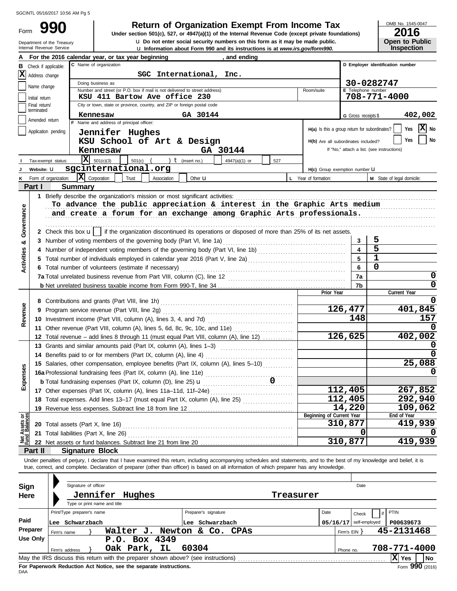Form

# **990 1990 2016 2016 Depending Solution Solution Solution Solution Spanization Exempt From Income Tax 2016**

u Information about Form 990 and its instructions is at *www.irs.gov/form990.* **u** Do not enter social security numbers on this form as it may be made public. OMB No. 1545-0047

| 20 I D                |
|-----------------------|
| <b>Open to Public</b> |
| <b>Inspection</b>     |

|                                | Department of the Treasury<br>Internal Revenue Service | <b>u</b> Do not enter social security numbers on this form as it may be made public.<br><b>u</b> Information about Form 990 and its instructions is at www.irs.gov/form990.                                                                                                                                              |                                  | <b>Open to Public</b><br><b>Inspection</b> |
|--------------------------------|--------------------------------------------------------|--------------------------------------------------------------------------------------------------------------------------------------------------------------------------------------------------------------------------------------------------------------------------------------------------------------------------|----------------------------------|--------------------------------------------|
|                                |                                                        | For the 2016 calendar year, or tax year beginning<br>and ending                                                                                                                                                                                                                                                          |                                  |                                            |
| в                              | Check if applicable:                                   |                                                                                                                                                                                                                                                                                                                          | D Employer identification number |                                            |
| <b>X</b>                       | Address change                                         | SGC International, Inc.                                                                                                                                                                                                                                                                                                  |                                  |                                            |
|                                |                                                        | Doing business as                                                                                                                                                                                                                                                                                                        |                                  | 30-0282747                                 |
|                                | Name change                                            | Number and street (or P.O. box if mail is not delivered to street address)<br>Room/suite                                                                                                                                                                                                                                 | E Telephone number               |                                            |
|                                | Initial return                                         | KSU 411 Bartow Ave office 230                                                                                                                                                                                                                                                                                            |                                  | 708-771-4000                               |
|                                | Final return/<br>terminated                            | City or town, state or province, country, and ZIP or foreign postal code                                                                                                                                                                                                                                                 |                                  |                                            |
|                                | Amended return                                         | Kennesaw<br>GA 30144<br>F Name and address of principal officer:                                                                                                                                                                                                                                                         | G Gross receipts \$              | 402,002                                    |
|                                | Application pending                                    | H(a) Is this a group return for subordinates?                                                                                                                                                                                                                                                                            |                                  | $ \mathbf{X} $ No<br>Yes                   |
|                                |                                                        | Jennifer Hughes                                                                                                                                                                                                                                                                                                          |                                  | No<br><b>Yes</b>                           |
|                                |                                                        | KSU School of Art & Design<br>H(b) Are all subordinates included?                                                                                                                                                                                                                                                        |                                  | If "No," attach a list. (see instructions) |
|                                |                                                        | GA 30144<br>Kennesaw                                                                                                                                                                                                                                                                                                     |                                  |                                            |
|                                | Tax-exempt status:                                     | $\overline{\mathbf{X}}$ 501(c)(3)<br>) $t$ (insert no.)<br>$501(c)$ (<br>4947(a)(1) or<br>527<br>sgcinternational.org                                                                                                                                                                                                    |                                  |                                            |
|                                | Website: U<br>Form of organization:                    | H(c) Group exemption number U<br>$ \mathbf{X} $ Corporation<br>Trust<br>Association<br>L Year of formation:                                                                                                                                                                                                              |                                  | M State of legal domicile:                 |
| κ                              | Part I                                                 | Other $\mathbf u$<br><b>Summary</b>                                                                                                                                                                                                                                                                                      |                                  |                                            |
|                                |                                                        | 1 Briefly describe the organization's mission or most significant activities:                                                                                                                                                                                                                                            |                                  |                                            |
|                                |                                                        | To advance the public appreciation & interest in the Graphic Arts medium                                                                                                                                                                                                                                                 |                                  |                                            |
|                                |                                                        | and create a forum for an exchange among Graphic Arts professionals.                                                                                                                                                                                                                                                     |                                  |                                            |
| Governance                     |                                                        |                                                                                                                                                                                                                                                                                                                          |                                  |                                            |
|                                |                                                        | 2 Check this box $\mathbf{u}$   if the organization discontinued its operations or disposed of more than 25% of its net assets.                                                                                                                                                                                          |                                  |                                            |
| œ                              | 3                                                      | Number of voting members of the governing body (Part VI, line 1a)                                                                                                                                                                                                                                                        | 3                                | 5                                          |
|                                | 4                                                      |                                                                                                                                                                                                                                                                                                                          | $\blacktriangle$                 | 5                                          |
|                                | 5                                                      | Total number of individuals employed in calendar year 2016 (Part V, line 2a) [[[[[[[[[[[[[[[[[[[[[[[[[[[[[[[[                                                                                                                                                                                                            | 5                                | $\overline{1}$                             |
| <b>Activities</b>              |                                                        | 6 Total number of volunteers (estimate if necessary)                                                                                                                                                                                                                                                                     | 6                                | $\mathbf 0$                                |
|                                |                                                        |                                                                                                                                                                                                                                                                                                                          | 7a                               | 0                                          |
|                                |                                                        |                                                                                                                                                                                                                                                                                                                          | 7b                               | 0                                          |
|                                |                                                        | Prior Year                                                                                                                                                                                                                                                                                                               |                                  | Current Year                               |
|                                |                                                        |                                                                                                                                                                                                                                                                                                                          |                                  | 0                                          |
| Revenue                        | 9                                                      |                                                                                                                                                                                                                                                                                                                          | 126,477                          | 401,845                                    |
|                                |                                                        |                                                                                                                                                                                                                                                                                                                          | 148                              | 157                                        |
|                                |                                                        | 11 Other revenue (Part VIII, column (A), lines 5, 6d, 8c, 9c, 10c, and 11e)                                                                                                                                                                                                                                              | 126,625                          | 402,002                                    |
|                                |                                                        | 12 Total revenue - add lines 8 through 11 (must equal Part VIII, column (A), line 12)                                                                                                                                                                                                                                    |                                  |                                            |
|                                |                                                        | 13 Grants and similar amounts paid (Part IX, column (A), lines 1-3)<br>14 Benefits paid to or for members (Part IX, column (A), line 4)                                                                                                                                                                                  |                                  | 0                                          |
|                                |                                                        | 15 Salaries, other compensation, employee benefits (Part IX, column (A), lines 5-10)                                                                                                                                                                                                                                     |                                  | 25,088                                     |
| Ses                            |                                                        |                                                                                                                                                                                                                                                                                                                          |                                  |                                            |
| Expen                          |                                                        |                                                                                                                                                                                                                                                                                                                          |                                  |                                            |
|                                |                                                        | 17 Other expenses (Part IX, column (A), lines 11a-11d, 11f-24e)                                                                                                                                                                                                                                                          | 112,405                          | 267,852                                    |
|                                |                                                        | 18 Total expenses. Add lines 13-17 (must equal Part IX, column (A), line 25)                                                                                                                                                                                                                                             | 112,405                          | 292,940                                    |
|                                |                                                        | 19 Revenue less expenses. Subtract line 18 from line 12                                                                                                                                                                                                                                                                  | 14,220                           | 109,062                                    |
| Net Assets or<br>Fund Balances |                                                        | Beginning of Current Year                                                                                                                                                                                                                                                                                                |                                  | End of Year                                |
|                                | 20                                                     | Total assets (Part X, line 16)                                                                                                                                                                                                                                                                                           | 310,877                          | 419,939                                    |
|                                | 21                                                     | Total liabilities (Part X, line 26)                                                                                                                                                                                                                                                                                      | O                                |                                            |
|                                |                                                        |                                                                                                                                                                                                                                                                                                                          | 310,877                          | 419,939                                    |
|                                | Part II                                                | <b>Signature Block</b>                                                                                                                                                                                                                                                                                                   |                                  |                                            |
|                                |                                                        | Under penalties of perjury, I declare that I have examined this return, including accompanying schedules and statements, and to the best of my knowledge and belief, it is<br>true, correct, and complete. Declaration of preparer (other than officer) is based on all information of which preparer has any knowledge. |                                  |                                            |
|                                |                                                        |                                                                                                                                                                                                                                                                                                                          |                                  |                                            |
| Sign                           |                                                        | Signature of officer                                                                                                                                                                                                                                                                                                     | Date                             |                                            |
| Here                           |                                                        | Jennifer Hughes<br>Treasurer                                                                                                                                                                                                                                                                                             |                                  |                                            |
|                                |                                                        | Type or print name and title                                                                                                                                                                                                                                                                                             |                                  |                                            |
|                                |                                                        | Print/Type preparer's name<br>Preparer's signature<br>Date                                                                                                                                                                                                                                                               | Check                            | PTIN<br>if                                 |
| Paid                           |                                                        | Lee Schwarzbach<br>Lee Schwarzbach                                                                                                                                                                                                                                                                                       | $05/16/17$ self-employed         | P00639673                                  |
|                                | Preparer<br>Firm's name                                | Walter J. Newton & Co. CPAs                                                                                                                                                                                                                                                                                              | Firm's $EIN$ }                   | 45-2131468                                 |
|                                | <b>Use Only</b>                                        | P.O. Box 4349                                                                                                                                                                                                                                                                                                            |                                  |                                            |
|                                | Firm's address                                         | Oak Park, IL<br>60304                                                                                                                                                                                                                                                                                                    | Phone no.                        | 708-771-4000                               |
|                                |                                                        |                                                                                                                                                                                                                                                                                                                          |                                  | $\boxed{\mathbf{X}}$ Yes<br><b>No</b>      |

| Sign     |             |                | Signature of officer         |                                                                      |        |       |                                                                                   |             |           |      |                   | Date          |              |      |      |
|----------|-------------|----------------|------------------------------|----------------------------------------------------------------------|--------|-------|-----------------------------------------------------------------------------------|-------------|-----------|------|-------------------|---------------|--------------|------|------|
| Here     |             |                | Jennifer                     | Hughes                                                               |        |       |                                                                                   |             | Treasurer |      |                   |               |              |      |      |
|          |             |                | Type or print name and title |                                                                      |        |       |                                                                                   |             |           |      |                   |               |              |      |      |
|          |             |                | Print/Type preparer's name   |                                                                      |        |       | Preparer's signature                                                              |             |           | Date |                   | Check         | <b>PTIN</b>  |      |      |
| Paid     | Lee         | Schwarzbach    |                              |                                                                      |        | Lee   | Schwarzbach                                                                       |             |           |      | 05/16/17          | self-employed | P00639673    |      |      |
| Preparer | Firm's name |                |                              | Walter J.                                                            | Newton |       | & Co.                                                                             | <b>CPAs</b> |           |      | Firm's $EIN$ $\}$ |               | 45-2131468   |      |      |
| Use Only |             |                |                              | P.O. Box 4349                                                        |        |       |                                                                                   |             |           |      |                   |               |              |      |      |
|          |             | Firm's address |                              | Oak Park, IL                                                         |        | 60304 |                                                                                   |             |           |      | Phone no.         |               | 708-771-4000 |      |      |
|          |             |                |                              |                                                                      |        |       | May the IRS discuss this return with the preparer shown above? (see instructions) |             |           |      |                   |               | 'xl<br>Yes   |      | l No |
|          |             |                |                              | For Bournmed: Badrietten, Ant Netter, and the accessts instructions. |        |       |                                                                                   |             |           |      |                   |               |              | nnn. |      |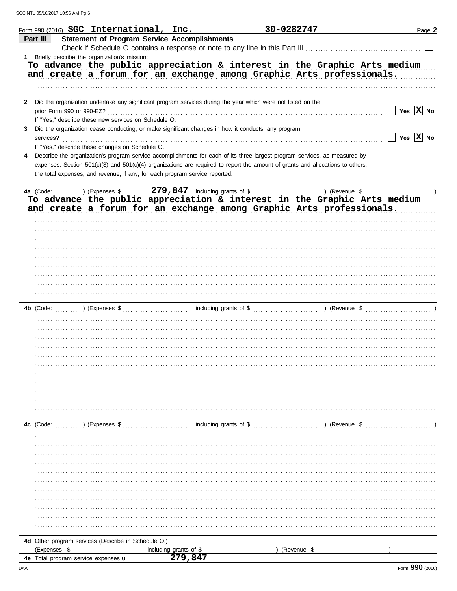|   |              | Form 990 (2016) SGC International, Inc.                                                                                                                                                                       |                                  |                        | 30-0282747                                                                             | Page 2                      |
|---|--------------|---------------------------------------------------------------------------------------------------------------------------------------------------------------------------------------------------------------|----------------------------------|------------------------|----------------------------------------------------------------------------------------|-----------------------------|
|   | Part III     | <b>Statement of Program Service Accomplishments</b>                                                                                                                                                           |                                  |                        |                                                                                        |                             |
|   |              | Check if Schedule O contains a response or note to any line in this Part III                                                                                                                                  |                                  |                        |                                                                                        |                             |
|   |              | 1 Briefly describe the organization's mission:                                                                                                                                                                |                                  |                        |                                                                                        |                             |
|   |              | To advance the public appreciation & interest in the Graphic Arts medium                                                                                                                                      |                                  |                        |                                                                                        |                             |
|   |              | and create a forum for an exchange among Graphic Arts professionals.                                                                                                                                          |                                  |                        |                                                                                        |                             |
|   |              |                                                                                                                                                                                                               |                                  |                        |                                                                                        |                             |
|   |              |                                                                                                                                                                                                               |                                  |                        |                                                                                        |                             |
| 2 |              | Did the organization undertake any significant program services during the year which were not listed on the                                                                                                  |                                  |                        |                                                                                        |                             |
|   |              | prior Form 990 or 990-EZ?                                                                                                                                                                                     |                                  |                        |                                                                                        | Yes $\boxed{\mathbf{X}}$ No |
|   |              | If "Yes," describe these new services on Schedule O.                                                                                                                                                          |                                  |                        |                                                                                        |                             |
| 3 |              | Did the organization cease conducting, or make significant changes in how it conducts, any program                                                                                                            |                                  |                        |                                                                                        | Yes $\overline{X}$ No       |
|   | services?    |                                                                                                                                                                                                               |                                  |                        |                                                                                        |                             |
|   |              | If "Yes," describe these changes on Schedule O.                                                                                                                                                               |                                  |                        |                                                                                        |                             |
| 4 |              | Describe the organization's program service accomplishments for each of its three largest program services, as measured by                                                                                    |                                  |                        |                                                                                        |                             |
|   |              | expenses. Section 501(c)(3) and 501(c)(4) organizations are required to report the amount of grants and allocations to others,<br>the total expenses, and revenue, if any, for each program service reported. |                                  |                        |                                                                                        |                             |
|   |              |                                                                                                                                                                                                               |                                  |                        |                                                                                        |                             |
|   | 4a (Code:    | ) (Expenses \$                                                                                                                                                                                                | $279,847$ including grants of \$ |                        | ) (Revenue \$                                                                          |                             |
|   |              | To advance the public appreciation & interest in the Graphic Arts medium                                                                                                                                      |                                  |                        |                                                                                        |                             |
|   |              | and create a forum for an exchange among Graphic Arts professionals.                                                                                                                                          |                                  |                        |                                                                                        |                             |
|   |              |                                                                                                                                                                                                               |                                  |                        |                                                                                        |                             |
|   |              |                                                                                                                                                                                                               |                                  |                        |                                                                                        |                             |
|   |              |                                                                                                                                                                                                               |                                  |                        |                                                                                        |                             |
|   |              |                                                                                                                                                                                                               |                                  |                        |                                                                                        |                             |
|   |              |                                                                                                                                                                                                               |                                  |                        |                                                                                        |                             |
|   |              |                                                                                                                                                                                                               |                                  |                        |                                                                                        |                             |
|   |              |                                                                                                                                                                                                               |                                  |                        |                                                                                        |                             |
|   |              |                                                                                                                                                                                                               |                                  |                        |                                                                                        |                             |
|   |              |                                                                                                                                                                                                               |                                  |                        |                                                                                        |                             |
|   |              |                                                                                                                                                                                                               |                                  |                        |                                                                                        |                             |
|   | 4b (Code:    |                                                                                                                                                                                                               |                                  |                        | ) (Expenses $\frac{1}{2}$ including grants of $\frac{1}{2}$ ) (Revenue $\frac{1}{2}$ ) |                             |
|   |              |                                                                                                                                                                                                               |                                  |                        |                                                                                        |                             |
|   |              |                                                                                                                                                                                                               |                                  |                        |                                                                                        |                             |
|   |              |                                                                                                                                                                                                               |                                  |                        |                                                                                        |                             |
|   |              |                                                                                                                                                                                                               |                                  |                        |                                                                                        |                             |
|   |              |                                                                                                                                                                                                               |                                  |                        |                                                                                        |                             |
|   |              |                                                                                                                                                                                                               |                                  |                        |                                                                                        |                             |
|   |              |                                                                                                                                                                                                               |                                  |                        |                                                                                        |                             |
|   |              |                                                                                                                                                                                                               |                                  |                        |                                                                                        |                             |
|   |              |                                                                                                                                                                                                               |                                  |                        |                                                                                        |                             |
|   |              |                                                                                                                                                                                                               |                                  |                        |                                                                                        |                             |
|   |              |                                                                                                                                                                                                               |                                  |                        |                                                                                        |                             |
|   |              |                                                                                                                                                                                                               |                                  |                        | ) (Revenue \$                                                                          |                             |
|   | 4c (Code:    | ) (Expenses \$                                                                                                                                                                                                |                                  | including grants of \$ |                                                                                        |                             |
|   |              |                                                                                                                                                                                                               |                                  |                        |                                                                                        |                             |
|   |              |                                                                                                                                                                                                               |                                  |                        |                                                                                        |                             |
|   |              |                                                                                                                                                                                                               |                                  |                        |                                                                                        |                             |
|   |              |                                                                                                                                                                                                               |                                  |                        |                                                                                        |                             |
|   |              |                                                                                                                                                                                                               |                                  |                        |                                                                                        |                             |
|   |              |                                                                                                                                                                                                               |                                  |                        |                                                                                        |                             |
|   |              |                                                                                                                                                                                                               |                                  |                        |                                                                                        |                             |
|   |              |                                                                                                                                                                                                               |                                  |                        |                                                                                        |                             |
|   |              |                                                                                                                                                                                                               |                                  |                        |                                                                                        |                             |
|   |              |                                                                                                                                                                                                               |                                  |                        |                                                                                        |                             |
|   |              |                                                                                                                                                                                                               |                                  |                        |                                                                                        |                             |
|   |              | 4d Other program services (Describe in Schedule O.)                                                                                                                                                           |                                  |                        |                                                                                        |                             |
|   | (Expenses \$ |                                                                                                                                                                                                               | including grants of \$           |                        | (Revenue \$                                                                            |                             |
|   |              | <b>4e</b> Total program service expenses <b>u</b>                                                                                                                                                             | 279.847                          |                        |                                                                                        |                             |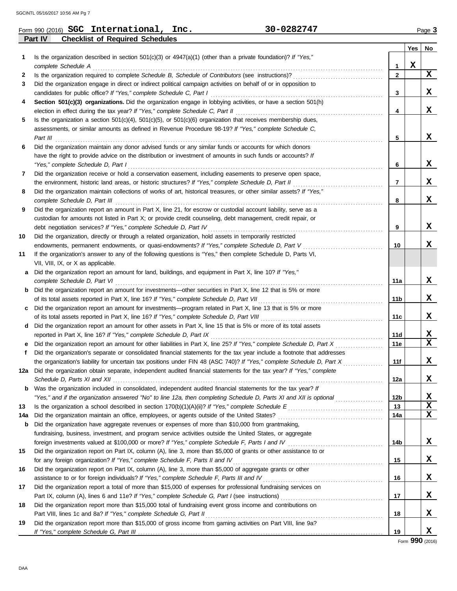|     | 30-0282747<br>Form 990 (2016) $SGC$ International, Inc.                                                                 |              |             | Page 3      |
|-----|-------------------------------------------------------------------------------------------------------------------------|--------------|-------------|-------------|
|     | Part IV<br><b>Checklist of Required Schedules</b>                                                                       |              |             |             |
|     |                                                                                                                         |              | Yes         | No          |
| 1   | Is the organization described in section 501(c)(3) or $4947(a)(1)$ (other than a private foundation)? If "Yes,"         |              |             |             |
|     | complete Schedule A                                                                                                     | 1            | $\mathbf x$ |             |
| 2   | Is the organization required to complete Schedule B, Schedule of Contributors (see instructions)?                       | $\mathbf{2}$ |             | X           |
| 3   | Did the organization engage in direct or indirect political campaign activities on behalf of or in opposition to        |              |             |             |
|     | candidates for public office? If "Yes," complete Schedule C, Part I                                                     | 3            |             | X           |
| 4   | Section 501(c)(3) organizations. Did the organization engage in lobbying activities, or have a section 501(h)           |              |             |             |
|     | election in effect during the tax year? If "Yes," complete Schedule C, Part II                                          | 4            |             | X           |
| 5   | Is the organization a section $501(c)(4)$ , $501(c)(5)$ , or $501(c)(6)$ organization that receives membership dues,    |              |             |             |
|     | assessments, or similar amounts as defined in Revenue Procedure 98-19? If "Yes," complete Schedule C,                   |              |             |             |
|     | Part III                                                                                                                | 5            |             | X           |
| 6   | Did the organization maintain any donor advised funds or any similar funds or accounts for which donors                 |              |             |             |
|     | have the right to provide advice on the distribution or investment of amounts in such funds or accounts? If             |              |             |             |
|     | "Yes," complete Schedule D, Part I                                                                                      | 6            |             | X           |
| 7   | Did the organization receive or hold a conservation easement, including easements to preserve open space,               |              |             |             |
|     | the environment, historic land areas, or historic structures? If "Yes," complete Schedule D, Part II                    | 7            |             | X           |
| 8   | Did the organization maintain collections of works of art, historical treasures, or other similar assets? If "Yes,"     |              |             |             |
|     | complete Schedule D, Part III                                                                                           | 8            |             | X           |
| 9   | Did the organization report an amount in Part X, line 21, for escrow or custodial account liability, serve as a         |              |             |             |
|     | custodian for amounts not listed in Part X; or provide credit counseling, debt management, credit repair, or            |              |             |             |
|     | debt negotiation services? If "Yes," complete Schedule D, Part IV                                                       | 9            |             | X           |
| 10  | Did the organization, directly or through a related organization, hold assets in temporarily restricted                 |              |             |             |
|     | endowments, permanent endowments, or quasi-endowments? If "Yes," complete Schedule D, Part V                            | 10           |             | X           |
| 11  | If the organization's answer to any of the following questions is "Yes," then complete Schedule D, Parts VI,            |              |             |             |
|     | VII, VIII, IX, or X as applicable.                                                                                      |              |             |             |
| a   | Did the organization report an amount for land, buildings, and equipment in Part X, line 10? If "Yes,"                  |              |             |             |
|     | complete Schedule D, Part VI                                                                                            | 11a          |             | X           |
| b   | Did the organization report an amount for investments—other securities in Part X, line 12 that is 5% or more            |              |             |             |
|     | of its total assets reported in Part X, line 16? If "Yes," complete Schedule D, Part VII                                | 11b          |             | X           |
| c   | Did the organization report an amount for investments-program related in Part X, line 13 that is 5% or more             |              |             |             |
|     | of its total assets reported in Part X, line 16? If "Yes," complete Schedule D, Part VIII                               | 11c          |             | X           |
| d   | Did the organization report an amount for other assets in Part X, line 15 that is 5% or more of its total assets        |              |             |             |
|     | reported in Part X, line 16? If "Yes," complete Schedule D, Part IX                                                     | 11d          |             | X           |
|     | Did the organization report an amount for other liabilities in Part X, line 25? If "Yes," complete Schedule D, Part X   | 11e          |             | $\mathbf x$ |
| f   | Did the organization's separate or consolidated financial statements for the tax year include a footnote that addresses |              |             |             |
|     | the organization's liability for uncertain tax positions under FIN 48 (ASC 740)? If "Yes," complete Schedule D, Part X  | 11f          |             | X           |
|     | 12a Did the organization obtain separate, independent audited financial statements for the tax year? If "Yes," complete |              |             |             |
|     |                                                                                                                         | 12a          |             | X           |
|     | <b>b</b> Was the organization included in consolidated, independent audited financial statements for the tax year? If   |              |             |             |
|     | "Yes," and if the organization answered "No" to line 12a, then completing Schedule D, Parts XI and XII is optional      | 12b          |             | X           |
| 13  |                                                                                                                         | 13           |             | X           |
| 14a | Did the organization maintain an office, employees, or agents outside of the United States?                             | 14a          |             | X           |
| b   | Did the organization have aggregate revenues or expenses of more than \$10,000 from grantmaking,                        |              |             |             |
|     | fundraising, business, investment, and program service activities outside the United States, or aggregate               |              |             |             |
|     | foreign investments valued at \$100,000 or more? If "Yes," complete Schedule F, Parts I and IV                          | 14b          |             | X           |
| 15  | Did the organization report on Part IX, column (A), line 3, more than \$5,000 of grants or other assistance to or       |              |             |             |
|     | for any foreign organization? If "Yes," complete Schedule F, Parts II and IV                                            | 15           |             | X           |
| 16  | Did the organization report on Part IX, column (A), line 3, more than \$5,000 of aggregate grants or other              |              |             |             |
|     | assistance to or for foreign individuals? If "Yes," complete Schedule F, Parts III and IV                               | 16           |             | X           |
| 17  | Did the organization report a total of more than \$15,000 of expenses for professional fundraising services on          |              |             |             |
|     |                                                                                                                         | 17           |             | X           |
| 18  | Did the organization report more than \$15,000 total of fundraising event gross income and contributions on             |              |             |             |
|     | Part VIII, lines 1c and 8a? If "Yes," complete Schedule G, Part II                                                      | 18           |             | X           |
| 19  | Did the organization report more than \$15,000 of gross income from gaming activities on Part VIII, line 9a?            |              |             |             |
|     |                                                                                                                         | 19           |             | X           |

Form **990** (2016)

| SGCINTL 05/16/2017 10:56 AM Pg |  |  |  |
|--------------------------------|--|--|--|
|--------------------------------|--|--|--|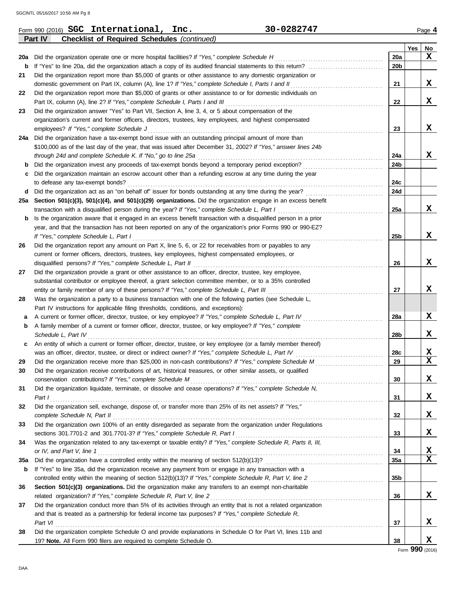|     | 30-0282747<br>Form 990 (2016) SGC International, Inc.                                                                      |                 |     | Page 4                  |
|-----|----------------------------------------------------------------------------------------------------------------------------|-----------------|-----|-------------------------|
|     | Part IV<br><b>Checklist of Required Schedules (continued)</b>                                                              |                 |     |                         |
|     |                                                                                                                            |                 | Yes | No                      |
|     | 20a Did the organization operate one or more hospital facilities? If "Yes," complete Schedule H                            | 20a             |     | x                       |
| b   |                                                                                                                            | 20b             |     |                         |
| 21  | Did the organization report more than \$5,000 of grants or other assistance to any domestic organization or                |                 |     |                         |
|     | domestic government on Part IX, column (A), line 1? If "Yes," complete Schedule I, Parts I and II                          | 21              |     | X                       |
| 22  | Did the organization report more than \$5,000 of grants or other assistance to or for domestic individuals on              |                 |     |                         |
|     | Part IX, column (A), line 2? If "Yes," complete Schedule I, Parts I and III                                                | 22              |     | X                       |
| 23  | Did the organization answer "Yes" to Part VII, Section A, line 3, 4, or 5 about compensation of the                        |                 |     |                         |
|     | organization's current and former officers, directors, trustees, key employees, and highest compensated                    |                 |     |                         |
|     | employees? If "Yes," complete Schedule J                                                                                   | 23              |     | X                       |
|     | 24a Did the organization have a tax-exempt bond issue with an outstanding principal amount of more than                    |                 |     |                         |
|     | \$100,000 as of the last day of the year, that was issued after December 31, 2002? If "Yes," answer lines 24b              |                 |     |                         |
|     | through 24d and complete Schedule K. If "No," go to line 25a                                                               | 24a             |     | X                       |
| b   | Did the organization invest any proceeds of tax-exempt bonds beyond a temporary period exception?                          | 24b             |     |                         |
| c   | Did the organization maintain an escrow account other than a refunding escrow at any time during the year                  |                 |     |                         |
|     | to defease any tax-exempt bonds?                                                                                           | 24c             |     |                         |
|     | d Did the organization act as an "on behalf of" issuer for bonds outstanding at any time during the year?                  | 24d             |     |                         |
|     | 25a Section 501(c)(3), 501(c)(4), and 501(c)(29) organizations. Did the organization engage in an excess benefit           |                 |     |                         |
|     | transaction with a disqualified person during the year? If "Yes," complete Schedule L, Part I                              | 25a             |     | X                       |
| b   | Is the organization aware that it engaged in an excess benefit transaction with a disqualified person in a prior           |                 |     |                         |
|     | year, and that the transaction has not been reported on any of the organization's prior Forms 990 or 990-EZ?               |                 |     |                         |
|     | If "Yes," complete Schedule L, Part I                                                                                      | 25b             |     | X                       |
| 26  | Did the organization report any amount on Part X, line 5, 6, or 22 for receivables from or payables to any                 |                 |     |                         |
|     | current or former officers, directors, trustees, key employees, highest compensated employees, or                          |                 |     |                         |
|     | disqualified persons? If "Yes," complete Schedule L, Part II                                                               | 26              |     | X                       |
| 27  | Did the organization provide a grant or other assistance to an officer, director, trustee, key employee,                   |                 |     |                         |
|     | substantial contributor or employee thereof, a grant selection committee member, or to a 35% controlled                    |                 |     |                         |
|     | entity or family member of any of these persons? If "Yes," complete Schedule L, Part III                                   | 27              |     | X                       |
| 28  | Was the organization a party to a business transaction with one of the following parties (see Schedule L,                  |                 |     |                         |
|     | Part IV instructions for applicable filing thresholds, conditions, and exceptions):                                        |                 |     |                         |
| а   | A current or former officer, director, trustee, or key employee? If "Yes," complete Schedule L, Part IV                    | 28a             |     | X                       |
| b   | A family member of a current or former officer, director, trustee, or key employee? If "Yes," complete                     |                 |     |                         |
|     | Schedule L, Part IV                                                                                                        | 28b             |     | X                       |
| c   | An entity of which a current or former officer, director, trustee, or key employee (or a family member thereof)            |                 |     |                         |
|     | was an officer, director, trustee, or direct or indirect owner? If "Yes," complete Schedule L, Part IV                     | 28c             |     | X                       |
| 29  |                                                                                                                            | 29              |     | $\overline{\mathbf{X}}$ |
| 30  | Did the organization receive contributions of art, historical treasures, or other similar assets, or qualified             |                 |     |                         |
|     | conservation contributions? If "Yes," complete Schedule M                                                                  | 30              |     | X                       |
| 31  | Did the organization liquidate, terminate, or dissolve and cease operations? If "Yes," complete Schedule N,                |                 |     |                         |
|     | Part I                                                                                                                     | 31              |     | X                       |
| 32  | Did the organization sell, exchange, dispose of, or transfer more than 25% of its net assets? If "Yes,"                    |                 |     |                         |
|     | complete Schedule N, Part II                                                                                               | 32              |     | X                       |
| 33  | Did the organization own 100% of an entity disregarded as separate from the organization under Regulations                 |                 |     | X                       |
|     | sections 301.7701-2 and 301.7701-3? If "Yes," complete Schedule R, Part I                                                  | 33              |     |                         |
| 34  | Was the organization related to any tax-exempt or taxable entity? If "Yes," complete Schedule R, Parts II, III,            |                 |     |                         |
|     | or IV, and Part V, line 1                                                                                                  | 34              |     | х<br>$\mathbf x$        |
| 35a |                                                                                                                            | 35a             |     |                         |
| b   | If "Yes" to line 35a, did the organization receive any payment from or engage in any transaction with a                    |                 |     |                         |
|     | controlled entity within the meaning of section 512(b)(13)? If "Yes," complete Schedule R, Part V, line 2 [[[[ [ [ [ ] ]]] | 35 <sub>b</sub> |     |                         |
| 36  | Section 501(c)(3) organizations. Did the organization make any transfers to an exempt non-charitable                       |                 |     |                         |
|     | related organization? If "Yes," complete Schedule R, Part V, line 2                                                        | 36              |     | X                       |
| 37  | Did the organization conduct more than 5% of its activities through an entity that is not a related organization           |                 |     |                         |
|     | and that is treated as a partnership for federal income tax purposes? If "Yes," complete Schedule R,                       |                 |     |                         |
|     | Part VI                                                                                                                    | 37              |     | X                       |
| 38  | Did the organization complete Schedule O and provide explanations in Schedule O for Part VI, lines 11b and                 |                 |     | X                       |
|     | 19? Note. All Form 990 filers are required to complete Schedule O.                                                         | 38              |     |                         |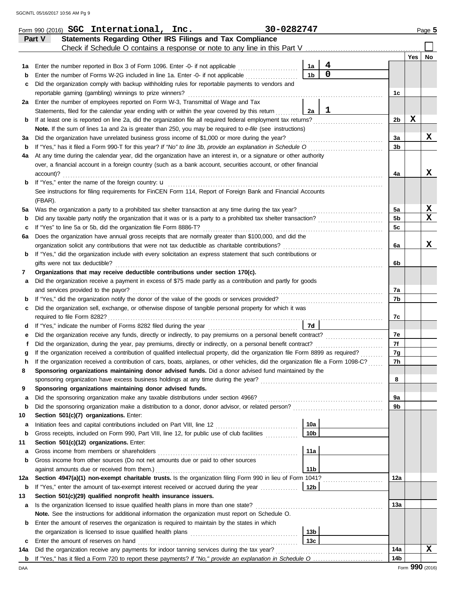|     | Form 990 (2016) SGC International, Inc.                                                                                                                                                                                                                                | 30-0282747 |                 |                     |                |     | Page 5 |
|-----|------------------------------------------------------------------------------------------------------------------------------------------------------------------------------------------------------------------------------------------------------------------------|------------|-----------------|---------------------|----------------|-----|--------|
|     | Statements Regarding Other IRS Filings and Tax Compliance<br>Part V                                                                                                                                                                                                    |            |                 |                     |                |     |        |
|     | Check if Schedule O contains a response or note to any line in this Part V                                                                                                                                                                                             |            |                 |                     |                |     |        |
|     |                                                                                                                                                                                                                                                                        |            |                 |                     |                | Yes | No     |
| 1а  | Enter the number reported in Box 3 of Form 1096. Enter -0- if not applicable                                                                                                                                                                                           |            | 1a              | 4<br>$\overline{0}$ |                |     |        |
| b   | Enter the number of Forms W-2G included in line 1a. Enter -0- if not applicable                                                                                                                                                                                        |            | 1 <sub>b</sub>  |                     |                |     |        |
| c   | Did the organization comply with backup withholding rules for reportable payments to vendors and                                                                                                                                                                       |            |                 |                     |                |     |        |
|     | reportable gaming (gambling) winnings to prize winners?                                                                                                                                                                                                                |            |                 |                     | 1c             |     |        |
|     | 2a Enter the number of employees reported on Form W-3, Transmittal of Wage and Tax                                                                                                                                                                                     |            |                 | 1                   |                |     |        |
|     | Statements, filed for the calendar year ending with or within the year covered by this return                                                                                                                                                                          |            | 2a              |                     | 2b             | X   |        |
| b   | If at least one is reported on line 2a, did the organization file all required federal employment tax returns?<br>Note. If the sum of lines 1a and 2a is greater than 250, you may be required to e-file (see instructions)                                            |            |                 |                     |                |     |        |
| За  | Did the organization have unrelated business gross income of \$1,000 or more during the year?                                                                                                                                                                          |            |                 |                     | 3a             |     | X      |
| b   | If "Yes," has it filed a Form 990-T for this year? If "No" to line 3b, provide an explanation in Schedule O                                                                                                                                                            |            |                 |                     | 3b             |     |        |
| 4a  | At any time during the calendar year, did the organization have an interest in, or a signature or other authority                                                                                                                                                      |            |                 |                     |                |     |        |
|     | over, a financial account in a foreign country (such as a bank account, securities account, or other financial                                                                                                                                                         |            |                 |                     |                |     |        |
|     | account)?                                                                                                                                                                                                                                                              |            |                 |                     | 4a             |     | X      |
| b   | If "Yes," enter the name of the foreign country: u                                                                                                                                                                                                                     |            |                 |                     |                |     |        |
|     | See instructions for filing requirements for FinCEN Form 114, Report of Foreign Bank and Financial Accounts                                                                                                                                                            |            |                 |                     |                |     |        |
|     | (FBAR).                                                                                                                                                                                                                                                                |            |                 |                     |                |     |        |
| 5a  | Was the organization a party to a prohibited tax shelter transaction at any time during the tax year?                                                                                                                                                                  |            |                 |                     | 5a             |     | X      |
| b   | Did any taxable party notify the organization that it was or is a party to a prohibited tax shelter transaction?                                                                                                                                                       |            |                 |                     | 5 <sub>b</sub> |     | X      |
| с   | If "Yes" to line 5a or 5b, did the organization file Form 8886-T?                                                                                                                                                                                                      |            |                 |                     | 5c             |     |        |
| 6а  | Does the organization have annual gross receipts that are normally greater than \$100,000, and did the                                                                                                                                                                 |            |                 |                     |                |     |        |
|     | organization solicit any contributions that were not tax deductible as charitable contributions?                                                                                                                                                                       |            |                 |                     | 6a             |     | X      |
| b   | If "Yes," did the organization include with every solicitation an express statement that such contributions or                                                                                                                                                         |            |                 |                     |                |     |        |
|     | gifts were not tax deductible?                                                                                                                                                                                                                                         |            |                 |                     | 6b             |     |        |
| 7   | Organizations that may receive deductible contributions under section 170(c).                                                                                                                                                                                          |            |                 |                     |                |     |        |
| а   | Did the organization receive a payment in excess of \$75 made partly as a contribution and partly for goods                                                                                                                                                            |            |                 |                     |                |     |        |
|     | and services provided to the payor?                                                                                                                                                                                                                                    |            |                 |                     | 7а             |     |        |
| b   |                                                                                                                                                                                                                                                                        |            |                 |                     | 7b             |     |        |
| c   | Did the organization sell, exchange, or otherwise dispose of tangible personal property for which it was                                                                                                                                                               |            |                 |                     |                |     |        |
|     | required to file Form 8282?                                                                                                                                                                                                                                            |            |                 |                     | 7с             |     |        |
| d   |                                                                                                                                                                                                                                                                        |            | 7d              |                     |                |     |        |
| е   | Did the organization receive any funds, directly or indirectly, to pay premiums on a personal benefit contract?                                                                                                                                                        |            |                 |                     | 7е             |     |        |
|     | Did the organization, during the year, pay premiums, directly or indirectly, on a personal benefit contract?                                                                                                                                                           |            |                 |                     | 7f             |     |        |
|     | If the organization received a contribution of qualified intellectual property, did the organization file Form 8899 as required?<br>If the organization received a contribution of cars, boats, airplanes, or other vehicles, did the organization file a Form 1098-C? |            |                 |                     | 7g<br>7h       |     |        |
|     | Sponsoring organizations maintaining donor advised funds. Did a donor advised fund maintained by the                                                                                                                                                                   |            |                 |                     |                |     |        |
| 8   |                                                                                                                                                                                                                                                                        |            |                 |                     | 8              |     |        |
| 9   | Sponsoring organizations maintaining donor advised funds.                                                                                                                                                                                                              |            |                 |                     |                |     |        |
| a   | Did the sponsoring organization make any taxable distributions under section 4966?                                                                                                                                                                                     |            |                 |                     | 9а             |     |        |
| b   | Did the sponsoring organization make a distribution to a donor, donor advisor, or related person?                                                                                                                                                                      |            |                 |                     | 9b             |     |        |
| 10  | Section 501(c)(7) organizations. Enter:                                                                                                                                                                                                                                |            |                 |                     |                |     |        |
| а   |                                                                                                                                                                                                                                                                        |            | 10a             |                     |                |     |        |
| b   | Gross receipts, included on Form 990, Part VIII, line 12, for public use of club facilities                                                                                                                                                                            |            | 10 <sub>b</sub> |                     |                |     |        |
| 11  | Section 501(c)(12) organizations. Enter:                                                                                                                                                                                                                               |            |                 |                     |                |     |        |
| а   | Gross income from members or shareholders                                                                                                                                                                                                                              |            | 11a             |                     |                |     |        |
| b   | Gross income from other sources (Do not net amounts due or paid to other sources                                                                                                                                                                                       |            |                 |                     |                |     |        |
|     | against amounts due or received from them.)                                                                                                                                                                                                                            |            | 11 <sub>b</sub> |                     |                |     |        |
| 12a | Section 4947(a)(1) non-exempt charitable trusts. Is the organization filing Form 990 in lieu of Form 1041?                                                                                                                                                             |            |                 |                     | 12a            |     |        |
| b   | If "Yes," enter the amount of tax-exempt interest received or accrued during the year                                                                                                                                                                                  |            | 12b             |                     |                |     |        |
| 13  | Section 501(c)(29) qualified nonprofit health insurance issuers.                                                                                                                                                                                                       |            |                 |                     |                |     |        |
| а   | Is the organization licensed to issue qualified health plans in more than one state?                                                                                                                                                                                   |            |                 |                     | 13а            |     |        |
|     | Note. See the instructions for additional information the organization must report on Schedule O.                                                                                                                                                                      |            |                 |                     |                |     |        |
| b   | Enter the amount of reserves the organization is required to maintain by the states in which                                                                                                                                                                           |            |                 |                     |                |     |        |
|     |                                                                                                                                                                                                                                                                        |            | 13 <sub>b</sub> |                     |                |     |        |
| c   | Enter the amount of reserves on hand                                                                                                                                                                                                                                   |            | 13 <sub>c</sub> |                     |                |     |        |
| 14a | Did the organization receive any payments for indoor tanning services during the tax year?                                                                                                                                                                             |            |                 |                     | 14a            |     | X      |
|     |                                                                                                                                                                                                                                                                        |            |                 |                     | 14b            |     |        |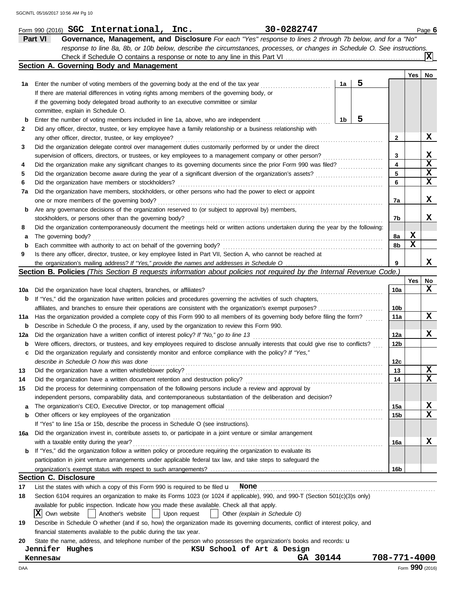|          | 30-0282747<br>Form 990 (2016) SGC International, Inc.                                                                                       |                        |     | Page 6          |
|----------|---------------------------------------------------------------------------------------------------------------------------------------------|------------------------|-----|-----------------|
|          | Part VI<br>Governance, Management, and Disclosure For each "Yes" response to lines 2 through 7b below, and for a "No"                       |                        |     |                 |
|          | response to line 8a, 8b, or 10b below, describe the circumstances, processes, or changes in Schedule O. See instructions.                   |                        |     |                 |
|          |                                                                                                                                             |                        |     | ΙXΙ             |
|          | Section A. Governing Body and Management                                                                                                    |                        |     |                 |
|          |                                                                                                                                             |                        | Yes | No              |
| 1а       | 5<br>1a<br>Enter the number of voting members of the governing body at the end of the tax year                                              |                        |     |                 |
|          | If there are material differences in voting rights among members of the governing body, or                                                  |                        |     |                 |
|          | if the governing body delegated broad authority to an executive committee or similar                                                        |                        |     |                 |
|          | committee, explain in Schedule O.                                                                                                           |                        |     |                 |
| b        | 5<br>1 <sub>b</sub><br>Enter the number of voting members included in line 1a, above, who are independent                                   |                        |     |                 |
| 2        | Did any officer, director, trustee, or key employee have a family relationship or a business relationship with                              |                        |     |                 |
|          | any other officer, director, trustee, or key employee?                                                                                      | $\mathbf{2}$           |     | X               |
| 3        | Did the organization delegate control over management duties customarily performed by or under the direct                                   |                        |     |                 |
|          | supervision of officers, directors, or trustees, or key employees to a management company or other person?                                  | 3                      |     | X               |
| 4        | Did the organization make any significant changes to its governing documents since the prior Form 990 was filed?                            | 4                      |     | $\mathbf x$     |
| 5        | Did the organization become aware during the year of a significant diversion of the organization's assets?                                  | 5                      |     | X               |
| 6        | Did the organization have members or stockholders?                                                                                          | 6                      |     | $\mathbf x$     |
| 7a       | Did the organization have members, stockholders, or other persons who had the power to elect or appoint                                     |                        |     |                 |
|          | one or more members of the governing body?                                                                                                  | 7a                     |     | x               |
| b        | Are any governance decisions of the organization reserved to (or subject to approval by) members,                                           |                        |     |                 |
|          | stockholders, or persons other than the governing body?                                                                                     | 7b                     |     | x               |
| 8        | Did the organization contemporaneously document the meetings held or written actions undertaken during the year by the following:           |                        |     |                 |
| a        | The governing body?                                                                                                                         | 8а                     | X   |                 |
| b        | Each committee with authority to act on behalf of the governing body?                                                                       | 8b                     | X   |                 |
| 9        | Is there any officer, director, trustee, or key employee listed in Part VII, Section A, who cannot be reached at                            |                        |     |                 |
|          |                                                                                                                                             | 9                      |     | x               |
|          | <b>Section B. Policies</b> (This Section B requests information about policies not required by the Internal Revenue Code.)                  |                        |     |                 |
|          |                                                                                                                                             |                        | Yes | No              |
| 10a      | Did the organization have local chapters, branches, or affiliates?                                                                          | 10a                    |     | X               |
| b        | If "Yes," did the organization have written policies and procedures governing the activities of such chapters,                              |                        |     |                 |
|          | affiliates, and branches to ensure their operations are consistent with the organization's exempt purposes?                                 | 10b                    |     |                 |
| 11a      | Has the organization provided a complete copy of this Form 990 to all members of its governing body before filing the form?                 | 11a                    |     | x               |
| b        | Describe in Schedule O the process, if any, used by the organization to review this Form 990.                                               |                        |     |                 |
| 12a      | Did the organization have a written conflict of interest policy? If "No," go to line 13                                                     | 12a                    |     | x               |
| b        | Were officers, directors, or trustees, and key employees required to disclose annually interests that could give rise to conflicts?         | 12b                    |     |                 |
| с        | Did the organization regularly and consistently monitor and enforce compliance with the policy? If "Yes,"                                   |                        |     |                 |
|          | describe in Schedule O how this was done                                                                                                    | 12c                    |     | X               |
| 13       | Did the organization have a written whistleblower policy?<br>Did the organization have a written document retention and destruction policy? | 13<br>14               |     | X               |
| 14<br>15 | Did the process for determining compensation of the following persons include a review and approval by                                      |                        |     |                 |
|          |                                                                                                                                             |                        |     |                 |
|          | independent persons, comparability data, and contemporaneous substantiation of the deliberation and decision?                               |                        |     | X               |
| a<br>b   | The organization's CEO, Executive Director, or top management official<br>Other officers or key employees of the organization               | 15a<br>15 <sub>b</sub> |     | X               |
|          | If "Yes" to line 15a or 15b, describe the process in Schedule O (see instructions).                                                         |                        |     |                 |
| 16a      | Did the organization invest in, contribute assets to, or participate in a joint venture or similar arrangement                              |                        |     |                 |
|          | with a taxable entity during the year?                                                                                                      | 16a                    |     | x               |
| b        | If "Yes," did the organization follow a written policy or procedure requiring the organization to evaluate its                              |                        |     |                 |
|          | participation in joint venture arrangements under applicable federal tax law, and take steps to safeguard the                               |                        |     |                 |
|          |                                                                                                                                             | 16b                    |     |                 |
|          | <b>Section C. Disclosure</b>                                                                                                                |                        |     |                 |
| 17       | List the states with which a copy of this Form 990 is required to be filed $\mathbf u$ None                                                 |                        |     |                 |
| 18       | Section 6104 requires an organization to make its Forms 1023 (or 1024 if applicable), 990, and 990-T (Section 501(c)(3)s only)              |                        |     |                 |
|          | available for public inspection. Indicate how you made these available. Check all that apply.                                               |                        |     |                 |
|          | IXI<br>Another's website<br>Own website<br>Upon request<br>Other (explain in Schedule O)                                                    |                        |     |                 |
| 19       | Describe in Schedule O whether (and if so, how) the organization made its governing documents, conflict of interest policy, and             |                        |     |                 |
|          | financial statements available to the public during the tax year.                                                                           |                        |     |                 |
| 20       | State the name, address, and telephone number of the person who possesses the organization's books and records: u                           |                        |     |                 |
|          | Jennifer Hughes<br>KSU School of Art & Design                                                                                               |                        |     |                 |
|          | GA 30144<br>Kennesaw                                                                                                                        | 708-771-4000           |     |                 |
| DAA      |                                                                                                                                             |                        |     | Form 990 (2016) |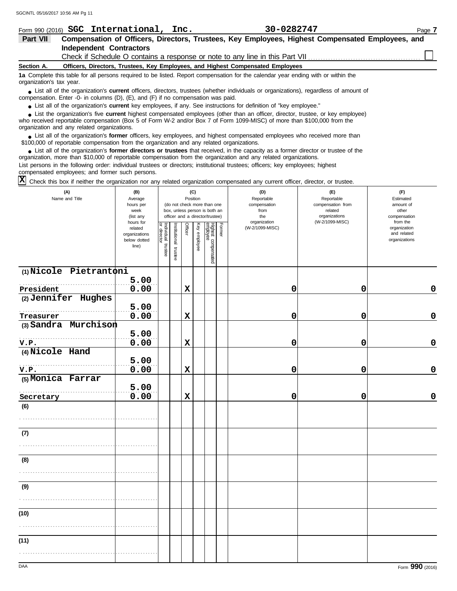| Form 990 (2016)          | SGC International, Inc.                                                                                                                                                                                                             | 30-0282747                                                                                                                        | Page 7 |  |  |  |  |  |
|--------------------------|-------------------------------------------------------------------------------------------------------------------------------------------------------------------------------------------------------------------------------------|-----------------------------------------------------------------------------------------------------------------------------------|--------|--|--|--|--|--|
| Part VII                 |                                                                                                                                                                                                                                     | Compensation of Officers, Directors, Trustees, Key Employees, Highest Compensated Employees, and                                  |        |  |  |  |  |  |
|                          | <b>Independent Contractors</b>                                                                                                                                                                                                      |                                                                                                                                   |        |  |  |  |  |  |
|                          |                                                                                                                                                                                                                                     |                                                                                                                                   |        |  |  |  |  |  |
| Section A.               | Officers, Directors, Trustees, Key Employees, and Highest Compensated Employees                                                                                                                                                     |                                                                                                                                   |        |  |  |  |  |  |
| organization's tax year. |                                                                                                                                                                                                                                     | 1a Complete this table for all persons required to be listed. Report compensation for the calendar year ending with or within the |        |  |  |  |  |  |
|                          | • List all of the organization's current officers, directors, trustees (whether individuals or organizations), regardless of amount of<br>compensation. Enter -0- in columns $(D)$ , $(E)$ , and $(F)$ if no compensation was paid. |                                                                                                                                   |        |  |  |  |  |  |
|                          | • List all of the organization's current key employees, if any. See instructions for definition of "key employee."                                                                                                                  |                                                                                                                                   |        |  |  |  |  |  |
|                          |                                                                                                                                                                                                                                     | • List the organization's five current highest compensated employees (other than an officer, director, trustee, or key employee)  |        |  |  |  |  |  |

who received reportable compensation (Box 5 of Form W-2 and/or Box 7 of Form 1099-MISC) of more than \$100,000 from the organization and any related organizations. **•**

■ List all of the organization's **former** officers, key employees, and highest compensated employees who received more than<br> **•** 00.000 of reportable compensation from the ergonization and any related ergonizations \$100,000 of reportable compensation from the organization and any related organizations.

■ List all of the organization's **former directors or trustees** that received, in the capacity as a former director or trustee of the<br>paization, more than \$10,000 of reportable compensation from the organization and any r organization, more than \$10,000 of reportable compensation from the organization and any related organizations. List persons in the following order: individual trustees or directors; institutional trustees; officers; key employees; highest compensated employees; and former such persons.

 $\overline{X}$  Check this box if neither the organization nor any related organization compensated any current officer, director, or trustee.

| (A)<br>Name and Title             | (B)<br>Average<br>hours per<br>week<br>(list any<br>hours for | (C)<br>(D)<br>(E)<br>Reportable<br>Position<br>Reportable<br>compensation from<br>(do not check more than one<br>compensation<br>box, unless person is both an<br>related<br>from<br>organizations<br>officer and a director/trustee)<br>the<br>organization<br>(W-2/1099-MISC) |                       |                |              |                                 |               |                 | (F)<br>Estimated<br>amount of<br>other<br>compensation<br>from the |                                              |
|-----------------------------------|---------------------------------------------------------------|---------------------------------------------------------------------------------------------------------------------------------------------------------------------------------------------------------------------------------------------------------------------------------|-----------------------|----------------|--------------|---------------------------------|---------------|-----------------|--------------------------------------------------------------------|----------------------------------------------|
|                                   | related<br>organizations<br>below dotted<br>line)             | Individual trustee<br>or director                                                                                                                                                                                                                                               | Institutional trustee | <b>Officer</b> | Key employee | Highest compensated<br>employee | <b>Former</b> | (W-2/1099-MISC) |                                                                    | organization<br>and related<br>organizations |
| (1) Nicole Pietrantoni            |                                                               |                                                                                                                                                                                                                                                                                 |                       |                |              |                                 |               |                 |                                                                    |                                              |
| President                         | 5.00<br>0.00                                                  |                                                                                                                                                                                                                                                                                 |                       | $\mathbf x$    |              |                                 |               | 0               | 0                                                                  | $\mathbf 0$                                  |
| (2) Jennifer Hughes               |                                                               |                                                                                                                                                                                                                                                                                 |                       |                |              |                                 |               |                 |                                                                    |                                              |
|                                   | 5.00                                                          |                                                                                                                                                                                                                                                                                 |                       |                |              |                                 |               |                 |                                                                    |                                              |
| Treasurer<br>(3) Sandra Murchison | 0.00                                                          |                                                                                                                                                                                                                                                                                 |                       | $\mathbf x$    |              |                                 |               | 0               | 0                                                                  | $\mathbf 0$                                  |
|                                   | 5.00                                                          |                                                                                                                                                                                                                                                                                 |                       |                |              |                                 |               |                 |                                                                    |                                              |
| V.P.                              | 0.00                                                          |                                                                                                                                                                                                                                                                                 |                       | $\mathbf x$    |              |                                 |               | 0               | 0                                                                  | $\mathbf 0$                                  |
| (4) Nicole Hand                   |                                                               |                                                                                                                                                                                                                                                                                 |                       |                |              |                                 |               |                 |                                                                    |                                              |
|                                   | 5.00                                                          |                                                                                                                                                                                                                                                                                 |                       |                |              |                                 |               |                 |                                                                    |                                              |
| V.P.                              | 0.00                                                          |                                                                                                                                                                                                                                                                                 |                       | $\mathbf x$    |              |                                 |               | 0               | 0                                                                  | $\mathbf 0$                                  |
| (5) Monica Farrar                 | 5.00                                                          |                                                                                                                                                                                                                                                                                 |                       |                |              |                                 |               |                 |                                                                    |                                              |
| Secretary                         | 0.00                                                          |                                                                                                                                                                                                                                                                                 |                       | $\mathbf x$    |              |                                 |               | 0               | 0                                                                  | $\mathbf 0$                                  |
| (6)                               |                                                               |                                                                                                                                                                                                                                                                                 |                       |                |              |                                 |               |                 |                                                                    |                                              |
| (7)                               |                                                               |                                                                                                                                                                                                                                                                                 |                       |                |              |                                 |               |                 |                                                                    |                                              |
|                                   |                                                               |                                                                                                                                                                                                                                                                                 |                       |                |              |                                 |               |                 |                                                                    |                                              |
| (8)                               |                                                               |                                                                                                                                                                                                                                                                                 |                       |                |              |                                 |               |                 |                                                                    |                                              |
|                                   |                                                               |                                                                                                                                                                                                                                                                                 |                       |                |              |                                 |               |                 |                                                                    |                                              |
| (9)                               |                                                               |                                                                                                                                                                                                                                                                                 |                       |                |              |                                 |               |                 |                                                                    |                                              |
|                                   |                                                               |                                                                                                                                                                                                                                                                                 |                       |                |              |                                 |               |                 |                                                                    |                                              |
| (10)                              |                                                               |                                                                                                                                                                                                                                                                                 |                       |                |              |                                 |               |                 |                                                                    |                                              |
|                                   |                                                               |                                                                                                                                                                                                                                                                                 |                       |                |              |                                 |               |                 |                                                                    |                                              |
| (11)                              |                                                               |                                                                                                                                                                                                                                                                                 |                       |                |              |                                 |               |                 |                                                                    |                                              |
|                                   |                                                               |                                                                                                                                                                                                                                                                                 |                       |                |              |                                 |               |                 |                                                                    |                                              |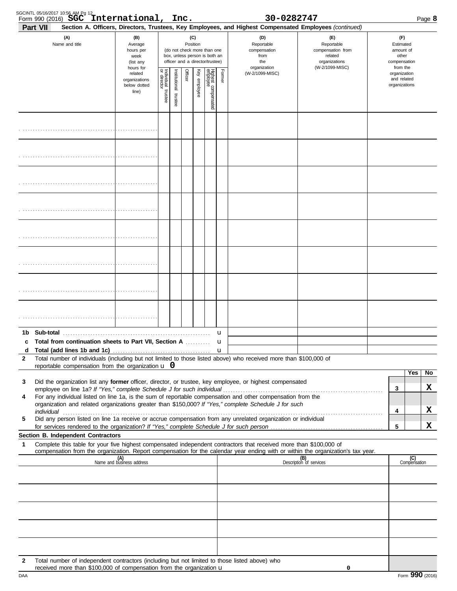| SGCINTL 05/16/2017 10:56 AM Pg 12 | Form 990 (2016) SGC International, Inc.                                                                                                                                         |                                                                |                         |                       |         |                 |                                                                                                 |        | 30-0282747                                                                                                                                                 |                                                                                                                                                                                                                               |                                                          |                     | Page 8 |
|-----------------------------------|---------------------------------------------------------------------------------------------------------------------------------------------------------------------------------|----------------------------------------------------------------|-------------------------|-----------------------|---------|-----------------|-------------------------------------------------------------------------------------------------|--------|------------------------------------------------------------------------------------------------------------------------------------------------------------|-------------------------------------------------------------------------------------------------------------------------------------------------------------------------------------------------------------------------------|----------------------------------------------------------|---------------------|--------|
| <b>Part VII</b>                   | (A)<br>Name and title                                                                                                                                                           | (B)<br>Average<br>hours per<br>week<br>(list any               |                         |                       |         | (C)<br>Position | (do not check more than one<br>box, unless person is both an<br>officer and a director/trustee) |        | Section A. Officers, Directors, Trustees, Key Employees, and Highest Compensated Employees (continued)<br>(D)<br>Reportable<br>compensation<br>from<br>the | (E)<br>Reportable<br>compensation from<br>related<br>organizations                                                                                                                                                            | (F)<br>Estimated<br>amount of<br>other<br>compensation   |                     |        |
|                                   |                                                                                                                                                                                 | hours for<br>related<br>organizations<br>below dotted<br>line) | Individual 1<br>trustee | Institutional trustee | Officer | Key employee    | Highest compensated<br>employee                                                                 | Former | organization<br>(W-2/1099-MISC)                                                                                                                            | (W-2/1099-MISC)                                                                                                                                                                                                               | from the<br>organization<br>and related<br>organizations |                     |        |
|                                   |                                                                                                                                                                                 |                                                                |                         |                       |         |                 |                                                                                                 |        |                                                                                                                                                            |                                                                                                                                                                                                                               |                                                          |                     |        |
|                                   |                                                                                                                                                                                 |                                                                |                         |                       |         |                 |                                                                                                 |        |                                                                                                                                                            |                                                                                                                                                                                                                               |                                                          |                     |        |
|                                   |                                                                                                                                                                                 |                                                                |                         |                       |         |                 |                                                                                                 |        |                                                                                                                                                            |                                                                                                                                                                                                                               |                                                          |                     |        |
|                                   |                                                                                                                                                                                 |                                                                |                         |                       |         |                 |                                                                                                 |        |                                                                                                                                                            |                                                                                                                                                                                                                               |                                                          |                     |        |
|                                   |                                                                                                                                                                                 |                                                                |                         |                       |         |                 |                                                                                                 |        |                                                                                                                                                            |                                                                                                                                                                                                                               |                                                          |                     |        |
|                                   |                                                                                                                                                                                 |                                                                |                         |                       |         |                 |                                                                                                 |        |                                                                                                                                                            |                                                                                                                                                                                                                               |                                                          |                     |        |
|                                   |                                                                                                                                                                                 |                                                                |                         |                       |         |                 |                                                                                                 |        |                                                                                                                                                            |                                                                                                                                                                                                                               |                                                          |                     |        |
|                                   |                                                                                                                                                                                 |                                                                |                         |                       |         |                 |                                                                                                 |        |                                                                                                                                                            |                                                                                                                                                                                                                               |                                                          |                     |        |
|                                   | c Total from continuation sheets to Part VII. Section A                                                                                                                         |                                                                |                         |                       |         |                 |                                                                                                 | u<br>u |                                                                                                                                                            |                                                                                                                                                                                                                               |                                                          |                     |        |
| d                                 |                                                                                                                                                                                 |                                                                |                         |                       |         |                 |                                                                                                 |        | Total number of individuals (including but not limited to those listed above) who received more than \$100,000 of                                          |                                                                                                                                                                                                                               |                                                          |                     |        |
| $\mathbf{2}$                      | reportable compensation from the organization $\bf{u}$ 0                                                                                                                        |                                                                |                         |                       |         |                 |                                                                                                 |        |                                                                                                                                                            |                                                                                                                                                                                                                               |                                                          |                     |        |
| 3                                 |                                                                                                                                                                                 |                                                                |                         |                       |         |                 |                                                                                                 |        | Did the organization list any former officer, director, or trustee, key employee, or highest compensated                                                   |                                                                                                                                                                                                                               |                                                          | Yes                 | No     |
| 4                                 |                                                                                                                                                                                 |                                                                |                         |                       |         |                 |                                                                                                 |        | For any individual listed on line 1a, is the sum of reportable compensation and other compensation from the                                                | employee on line 1a? If "Yes," complete Schedule J for such individual [11][11] content to the set on line 1a? If "Yes," complete Schedule J for such individual [11][11] content to the set of the set of the set of the set | 3                                                        |                     | x      |
|                                   |                                                                                                                                                                                 |                                                                |                         |                       |         |                 |                                                                                                 |        | organization and related organizations greater than \$150,000? If "Yes," complete Schedule J for such                                                      |                                                                                                                                                                                                                               | 4                                                        |                     | X      |
| 5                                 |                                                                                                                                                                                 |                                                                |                         |                       |         |                 |                                                                                                 |        | Did any person listed on line 1a receive or accrue compensation from any unrelated organization or individual                                              |                                                                                                                                                                                                                               |                                                          |                     |        |
|                                   | Section B. Independent Contractors                                                                                                                                              |                                                                |                         |                       |         |                 |                                                                                                 |        |                                                                                                                                                            |                                                                                                                                                                                                                               | 5                                                        |                     | X      |
| 1                                 |                                                                                                                                                                                 |                                                                |                         |                       |         |                 |                                                                                                 |        | Complete this table for your five highest compensated independent contractors that received more than \$100,000 of                                         |                                                                                                                                                                                                                               |                                                          |                     |        |
|                                   |                                                                                                                                                                                 | (A)<br>Name and business address                               |                         |                       |         |                 |                                                                                                 |        |                                                                                                                                                            | compensation from the organization. Report compensation for the calendar year ending with or within the organization's tax year.<br>(B)<br>Description of services                                                            |                                                          | (C)<br>Compensation |        |
|                                   |                                                                                                                                                                                 |                                                                |                         |                       |         |                 |                                                                                                 |        |                                                                                                                                                            |                                                                                                                                                                                                                               |                                                          |                     |        |
|                                   |                                                                                                                                                                                 |                                                                |                         |                       |         |                 |                                                                                                 |        |                                                                                                                                                            |                                                                                                                                                                                                                               |                                                          |                     |        |
|                                   |                                                                                                                                                                                 |                                                                |                         |                       |         |                 |                                                                                                 |        |                                                                                                                                                            |                                                                                                                                                                                                                               |                                                          |                     |        |
|                                   |                                                                                                                                                                                 |                                                                |                         |                       |         |                 |                                                                                                 |        |                                                                                                                                                            |                                                                                                                                                                                                                               |                                                          |                     |        |
| 2                                 | Total number of independent contractors (including but not limited to those listed above) who<br>received more than \$100,000 of compensation from the organization $\mathbf u$ |                                                                |                         |                       |         |                 |                                                                                                 |        |                                                                                                                                                            | 0                                                                                                                                                                                                                             |                                                          |                     |        |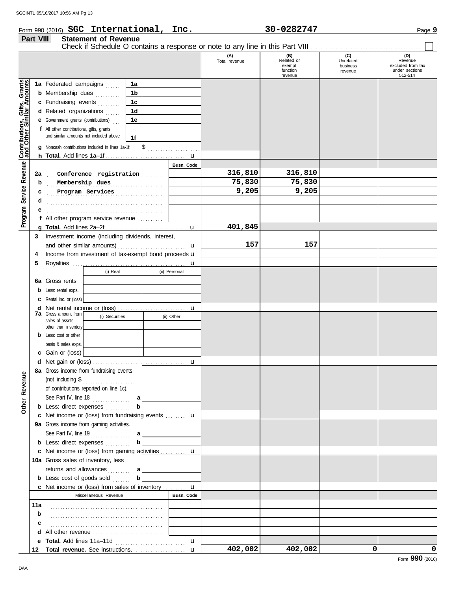### Form 990 (2016) Page **9 SGC International, Inc. 30-0282747**

|                                              | Part VIII<br><b>Statement of Revenue</b><br>Check if Schedule O contains a response or note to any line in this Part VIII |                                                                                                                                                                                                                                                                                                                                                                  |                              |                            |                                           |                              |                                                       |  |
|----------------------------------------------|---------------------------------------------------------------------------------------------------------------------------|------------------------------------------------------------------------------------------------------------------------------------------------------------------------------------------------------------------------------------------------------------------------------------------------------------------------------------------------------------------|------------------------------|----------------------------|-------------------------------------------|------------------------------|-------------------------------------------------------|--|
|                                              |                                                                                                                           |                                                                                                                                                                                                                                                                                                                                                                  |                              | (A)<br>Total revenue       | $(B)$<br>Related or<br>exempt<br>function | (C)<br>Unrelated<br>business | (D)<br>Revenue<br>excluded from tax<br>under sections |  |
| Service Revenue Contributions, Gifts, Grants |                                                                                                                           | 1a Federated campaigns<br>1a<br><b>b</b> Membership dues<br>1b<br>1 <sub>c</sub><br>c Fundraising events<br>1 <sub>d</sub><br>d Related organizations<br><b>e</b> Government grants (contributions)<br>1e<br>f All other contributions, gifts, grants,<br>and similar amounts not included above<br>1f<br>g Noncash contributions included in lines 1a-1f:<br>\$ | u                            |                            | revenue                                   | revenue                      | 512-514                                               |  |
| Program <sup>9</sup>                         | 2a<br>b<br>c<br>d                                                                                                         | Conference registration<br>Membership dues<br>.<br>Program Services<br>.<br>f All other program service revenue                                                                                                                                                                                                                                                  | <b>Busn. Code</b>            | 316,810<br>75,830<br>9,205 | 316,810<br>75,830<br>9,205                |                              |                                                       |  |
|                                              | a<br>3<br>4<br>5<br>6а                                                                                                    | Investment income (including dividends, interest,<br>Income from investment of tax-exempt bond proceeds u<br>(i) Real<br>(ii) Personal<br>Gross rents                                                                                                                                                                                                            | $\mathbf{u}$<br>u<br>u       | 401,845<br>157             | 157                                       |                              |                                                       |  |
|                                              | b<br>c<br>d<br>7a                                                                                                         | Less: rental exps.<br>Rental inc. or (loss)<br>Gross amount from<br>(i) Securities<br>(ii) Other<br>sales of assets<br>other than inventory                                                                                                                                                                                                                      | u                            |                            |                                           |                              |                                                       |  |
|                                              | b                                                                                                                         | Less: cost or other<br>basis & sales exps.<br>Gain or (loss)<br>8a Gross income from fundraising events                                                                                                                                                                                                                                                          | u                            |                            |                                           |                              |                                                       |  |
| <b>Other Revenue</b>                         |                                                                                                                           | (not including \$<br>.<br>of contributions reported on line 1c).<br>See Part IV, line $18$<br>a<br>b<br><b>b</b> Less: direct expenses<br>c Net income or (loss) from fundraising events  u                                                                                                                                                                      |                              |                            |                                           |                              |                                                       |  |
|                                              |                                                                                                                           | 9a Gross income from gaming activities.<br>See Part IV, line $19$<br>al<br>b<br><b>b</b> Less: direct expenses<br>c Net income or (loss) from gaming activities  u<br>10a Gross sales of inventory, less                                                                                                                                                         |                              |                            |                                           |                              |                                                       |  |
|                                              | 11a                                                                                                                       | returns and allowances<br>а<br><b>b</b> Less: $cost$ of goods $sol$<br>b<br><b>c</b> Net income or (loss) from sales of inventory $\mathbf{u}$<br>Miscellaneous Revenue                                                                                                                                                                                          | Busn. Code                   |                            |                                           |                              |                                                       |  |
|                                              | b<br>c<br>d                                                                                                               | All other revenue                                                                                                                                                                                                                                                                                                                                                |                              |                            |                                           |                              |                                                       |  |
|                                              | е<br>12                                                                                                                   | Total revenue. See instructions.                                                                                                                                                                                                                                                                                                                                 | $\mathbf{u}$<br>$\mathbf{u}$ | 402,002                    | 402,002                                   | 0                            | 0                                                     |  |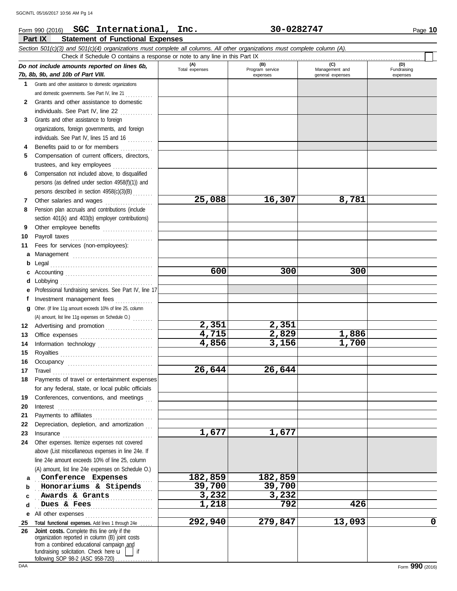#### **Part IX Statement of Functional Expenses** Form 990 (2016) Page **10 SGC International, Inc. 30-0282747** *Section 501(c)(3) and 501(c)(4) organizations must complete all columns. All other organizations must complete column (A). Do not include amounts reported on lines 6b, 7b, 8b, 9b, and 10b of Part VIII.* **1 2 3** Grants and other assistance to foreign **4 5 6 7 8 9 10** Payroll taxes . . . . . . . . . . . . . . . . . . . . . . . . . . . . . . . . . **11** Fees for services (non-employees): **a** Management ................................ **b** Legal . . . . . . . . . . . . . . . . . . . . . . . . . . . . . . . . . . . . . . . . . **c** Accounting . . . . . . . . . . . . . . . . . . . . . . . . . . . . . . . . . . . **d** Lobbying . . . . . . . . . . . . . . . . . . . . . . . . . . . . . . . . . . . . . **e** Professional fundraising services. See Part IV, line 17 **f** Grants and other assistance to domestic organizations and domestic governments. See Part IV, line 21 . . . . . . . . . . Grants and other assistance to domestic individuals. See Part IV, line 22 .............. organizations, foreign governments, and foreign individuals. See Part IV, lines 15 and 16 Benefits paid to or for members ............. Compensation of current officers, directors, trustees, and key employees . . . . . . . . . . . . . . . . Compensation not included above, to disqualified persons (as defined under section 4958(f)(1)) and persons described in section 4958(c)(3)(B) . . . . . . . . Other salaries and wages ................... Pension plan accruals and contributions (include section 401(k) and 403(b) employer contributions) Other employee benefits .................... Investment management fees ............... other.<br>Other 11g amount exceeds 10% of lines **(A) (B) (C) (D)** Total expenses Program service Management and expenses | general expenses (D)<br>Fundraising expenses Check if Schedule O contains a response or note to any line in this Part IX **25,088 16,307 8,781 600 300 300** SGCINTL 05/16/2017 10:56 AM Pg 14

**2,351 2,351**

**26,644 26,644**

**1,677 1,677**

**4,715 2,829 1,886**

**292,940 279,847 13,093 0**

**4,856 3,156 1,700**

| Other. (If line 11g amount exceeds 10% of line 25, column                                                                                                                                              |
|--------------------------------------------------------------------------------------------------------------------------------------------------------------------------------------------------------|
| (A) amount, list line 11g expenses on Schedule O.)                                                                                                                                                     |
| Advertising and promotion                                                                                                                                                                              |
|                                                                                                                                                                                                        |
| Information technology                                                                                                                                                                                 |
|                                                                                                                                                                                                        |
|                                                                                                                                                                                                        |
| Travel <b>Travel Travel 2006 Travel 2006 Travel 2006 Travel 2006 Travel 2006 Travel 2006 Travel 2006 Travel 2006 Travel 2006 Travel 2006 Travel 2006 Travel 2006 Travel 2006 Travel 2006 Travel 20</b> |
| Payments of travel or entertainment expenses                                                                                                                                                           |
| for any federal, state, or local public officials                                                                                                                                                      |
| Conferences, conventions, and meetings                                                                                                                                                                 |
| Interest                                                                                                                                                                                               |
|                                                                                                                                                                                                        |
| Depreciation, depletion, and amortization                                                                                                                                                              |
|                                                                                                                                                                                                        |

**23 24** Other expenses. Itemize expenses not covered **a b** Insurance . . . . . . . . . . . . . . . . . . . . . . . . . . . . . . . . . . . . above (List miscellaneous expenses in line 24e. If line 24e amount exceeds 10% of line 25, column (A) amount, list line 24e expenses on Schedule O.) . . . . . . . . . . . . . . . . . . . . . . . . . . . . . . . . . . . . . . . . . . . . . . . **Conference Expenses 182,859 182,859 Honorariums & Stipends 19,700 39,700** 

**c d e** All other expenses . . . . . . . . . . . . . . . . . . . . . . . . . . . . . . . . . . . . . . . . . . . . . . . . . . . . . . . . . . . . . . . . . . . . . . . . . . **Awards & Grants 3,232 3,232** . . . . . . . . . . . . . . . . . . . . . . . . . . . . . . . . . . . . . . . . . . . . . . . **Dues & Fees 1,218 792 426**

**25 Total functional expenses.** Add lines 1 through 24e . . . . . **26** fundraising solicitation. Check here  $\mathbf{u}$  | if organization reported in column (B) joint costs from a combined educational campaign and following SOP 98-2 (ASC 958-720) **Joint costs.** Complete this line only if the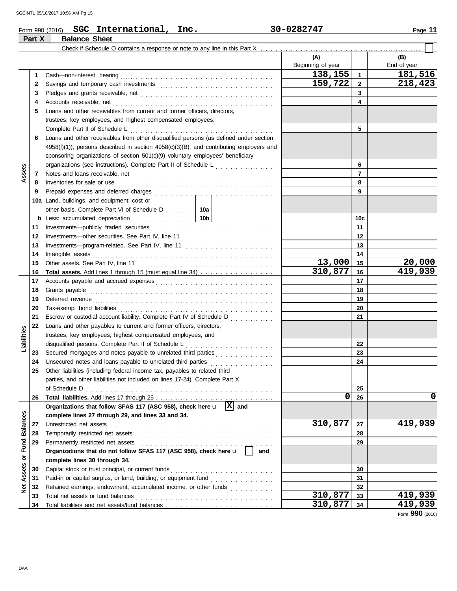| Page |  | 1 |
|------|--|---|
|------|--|---|

### Form 990 (2016) Page **11 SGC International, Inc. 30-0282747 Part X Balance Sheet**

|                 |     | Check if Schedule O contains a response or note to any line in this Part X                                                                                                                                                          |           |                          |              |                    |
|-----------------|-----|-------------------------------------------------------------------------------------------------------------------------------------------------------------------------------------------------------------------------------------|-----------|--------------------------|--------------|--------------------|
|                 |     |                                                                                                                                                                                                                                     |           | (A)<br>Beginning of year |              | (B)<br>End of year |
|                 | 1   | Cash-non-interest bearing                                                                                                                                                                                                           |           | 138,155                  | $\mathbf{1}$ | 181,516            |
|                 | 2   |                                                                                                                                                                                                                                     |           | 159,722                  | $\mathbf{2}$ | 218,423            |
|                 | З   |                                                                                                                                                                                                                                     |           |                          | 3            |                    |
|                 | 4   | Accounts receivable, net                                                                                                                                                                                                            |           |                          | 4            |                    |
|                 | 5   | Loans and other receivables from current and former officers, directors,                                                                                                                                                            |           |                          |              |                    |
|                 |     | trustees, key employees, and highest compensated employees.                                                                                                                                                                         |           |                          |              |                    |
|                 |     | Complete Part II of Schedule L                                                                                                                                                                                                      |           |                          | 5            |                    |
|                 | 6   | Loans and other receivables from other disqualified persons (as defined under section                                                                                                                                               |           |                          |              |                    |
|                 |     | 4958(f)(1)), persons described in section 4958(c)(3)(B), and contributing employers and                                                                                                                                             |           |                          |              |                    |
|                 |     | sponsoring organizations of section 501(c)(9) voluntary employees' beneficiary                                                                                                                                                      |           |                          |              |                    |
|                 |     |                                                                                                                                                                                                                                     |           |                          | 6            |                    |
| Assets          | 7   |                                                                                                                                                                                                                                     |           |                          | 7            |                    |
|                 | 8   | Inventories for sale or use <i>communication</i> and the state of the state of the state of the state of the state of the state of the state of the state of the state of the state of the state of the state of the state of the s |           |                          | 8            |                    |
|                 | 9   |                                                                                                                                                                                                                                     |           |                          | 9            |                    |
|                 | 10a | Land, buildings, and equipment: cost or                                                                                                                                                                                             |           |                          |              |                    |
|                 |     |                                                                                                                                                                                                                                     |           |                          |              |                    |
|                 | b   | Less: accumulated depreciation                                                                                                                                                                                                      | 10b       |                          | 10c          |                    |
|                 | 11  |                                                                                                                                                                                                                                     |           |                          | 11           |                    |
|                 | 12  |                                                                                                                                                                                                                                     |           |                          | 12           |                    |
|                 | 13  |                                                                                                                                                                                                                                     |           |                          | 13           |                    |
|                 | 14  | Intangible assets                                                                                                                                                                                                                   |           |                          | 14           |                    |
|                 | 15  |                                                                                                                                                                                                                                     |           | 13,000                   | 15           | 20,000             |
|                 | 16  |                                                                                                                                                                                                                                     |           | 310,877                  | 16           | 419,939            |
|                 | 17  |                                                                                                                                                                                                                                     |           |                          | 17           |                    |
|                 | 18  | Grants payable <i>communication</i> and all the contract of the contract of the contract of the contract of the contract of the contract of the contract of the contract of the contract of the contract of the contract of the con |           |                          | 18           |                    |
|                 | 19  | Deferred revenue contains and a series of the contact of the contact of the contact of the contact of the contact of the contact of the contact of the contact of the contact of the contact of the contact of the contact of       |           |                          | 19           |                    |
|                 | 20  |                                                                                                                                                                                                                                     |           |                          | 20           |                    |
|                 | 21  | Escrow or custodial account liability. Complete Part IV of Schedule D                                                                                                                                                               |           |                          | 21           |                    |
|                 | 22  | Loans and other payables to current and former officers, directors,                                                                                                                                                                 |           |                          |              |                    |
| Liabilities     |     | trustees, key employees, highest compensated employees, and                                                                                                                                                                         |           |                          |              |                    |
|                 |     | disqualified persons. Complete Part II of Schedule L                                                                                                                                                                                |           |                          | 22           |                    |
|                 | 23  | Secured mortgages and notes payable to unrelated third parties                                                                                                                                                                      |           |                          | 23           |                    |
|                 | 24  | Unsecured notes and loans payable to unrelated third parties                                                                                                                                                                        |           |                          | 24           |                    |
|                 | 25  | Other liabilities (including federal income tax, payables to related third                                                                                                                                                          |           |                          |              |                    |
|                 |     | parties, and other liabilities not included on lines 17-24). Complete Part X                                                                                                                                                        |           |                          |              |                    |
|                 |     |                                                                                                                                                                                                                                     |           |                          | 25           |                    |
|                 | 26  |                                                                                                                                                                                                                                     |           | 0                        | 26           | 0                  |
|                 |     | Organizations that follow SFAS 117 (ASC 958), check here u                                                                                                                                                                          | $ X $ and |                          |              |                    |
|                 |     | complete lines 27 through 29, and lines 33 and 34.                                                                                                                                                                                  |           |                          |              |                    |
|                 | 27  | Unrestricted net assets                                                                                                                                                                                                             |           | 310,877                  | 27           | 419,939            |
| <b>Balances</b> | 28  |                                                                                                                                                                                                                                     |           |                          | 28           |                    |
| Fund            | 29  | Permanently restricted net assets                                                                                                                                                                                                   |           |                          | 29           |                    |
|                 |     | Organizations that do not follow SFAS 117 (ASC 958), check here u                                                                                                                                                                   | and       |                          |              |                    |
| ŏ               |     | complete lines 30 through 34.                                                                                                                                                                                                       |           |                          |              |                    |
|                 | 30  | Capital stock or trust principal, or current funds                                                                                                                                                                                  |           |                          | 30           |                    |
| Assets          | 31  | Paid-in or capital surplus, or land, building, or equipment fund                                                                                                                                                                    |           |                          | 31           |                    |
| ğ               | 32  | Retained earnings, endowment, accumulated income, or other funds                                                                                                                                                                    |           |                          | 32           |                    |
|                 | 33  | Total net assets or fund balances                                                                                                                                                                                                   |           | 310,877                  | 33           | 419,939            |
|                 | 34  |                                                                                                                                                                                                                                     |           | 310,877                  | 34           | 419,939            |
|                 |     |                                                                                                                                                                                                                                     |           |                          |              | Form 990 (2016)    |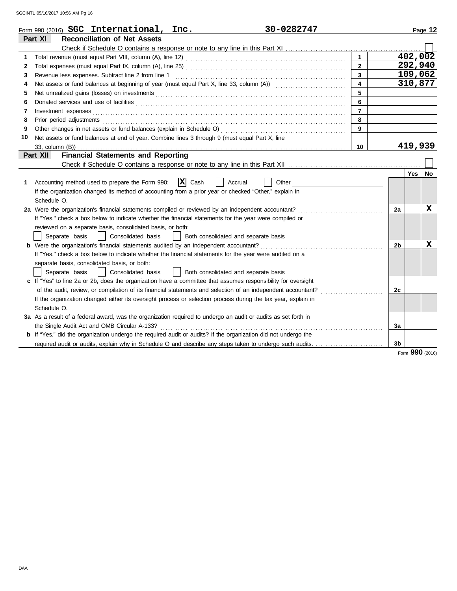|    | Form 990 (2016) SGC International, Inc.<br>30-0282747                                                                                                                                                                          |                         |                |         | Page 12 |
|----|--------------------------------------------------------------------------------------------------------------------------------------------------------------------------------------------------------------------------------|-------------------------|----------------|---------|---------|
|    | <b>Reconciliation of Net Assets</b><br>Part XI                                                                                                                                                                                 |                         |                |         |         |
|    |                                                                                                                                                                                                                                |                         |                |         |         |
|    |                                                                                                                                                                                                                                | $\mathbf{1}$            |                |         | 402,002 |
| 2  |                                                                                                                                                                                                                                | $\overline{2}$          |                | 292,940 |         |
| 3  | Revenue less expenses. Subtract line 2 from line 1                                                                                                                                                                             | $\overline{3}$          |                |         | 109,062 |
| 4  |                                                                                                                                                                                                                                | $\overline{\mathbf{4}}$ |                | 310,877 |         |
| 5  | Net unrealized gains (losses) on investments [11] match and the contract of the state of the state of the state of the state of the state of the state of the state of the state of the state of the state of the state of the | 5                       |                |         |         |
| 6  |                                                                                                                                                                                                                                | 6                       |                |         |         |
| 7  | Investment expenses <b>contract and the expenses</b>                                                                                                                                                                           | $\overline{7}$          |                |         |         |
| 8  | Prior period adjustments entertainments and adjustments of the contract of the contract of the contract of the contract of the contract of the contract of the contract of the contract of the contract of the contract of the | 8                       |                |         |         |
| 9  |                                                                                                                                                                                                                                | $\mathbf{q}$            |                |         |         |
| 10 | Net assets or fund balances at end of year. Combine lines 3 through 9 (must equal Part X, line                                                                                                                                 |                         |                |         |         |
|    |                                                                                                                                                                                                                                | 10                      |                | 419,939 |         |
|    | <b>Financial Statements and Reporting</b><br>Part XII                                                                                                                                                                          |                         |                |         |         |
|    |                                                                                                                                                                                                                                |                         |                |         |         |
|    |                                                                                                                                                                                                                                |                         |                | Yes     | No      |
| 1  | $ \mathbf{X} $ Cash<br>Other<br>Accounting method used to prepare the Form 990:<br>Accrual                                                                                                                                     |                         |                |         |         |
|    | If the organization changed its method of accounting from a prior year or checked "Other," explain in                                                                                                                          |                         |                |         |         |
|    | Schedule O.                                                                                                                                                                                                                    |                         |                |         |         |
|    | 2a Were the organization's financial statements compiled or reviewed by an independent accountant?                                                                                                                             |                         | 2a             |         | x       |
|    | If "Yes," check a box below to indicate whether the financial statements for the year were compiled or                                                                                                                         |                         |                |         |         |
|    | reviewed on a separate basis, consolidated basis, or both:                                                                                                                                                                     |                         |                |         |         |
|    | Consolidated basis<br>Separate basis<br>Both consolidated and separate basis                                                                                                                                                   |                         |                |         |         |
|    |                                                                                                                                                                                                                                |                         | 2 <sub>b</sub> |         | X       |
|    | If "Yes," check a box below to indicate whether the financial statements for the year were audited on a                                                                                                                        |                         |                |         |         |
|    | separate basis, consolidated basis, or both:                                                                                                                                                                                   |                         |                |         |         |
|    | Separate basis<br>Consolidated basis<br>Both consolidated and separate basis                                                                                                                                                   |                         |                |         |         |
|    | c If "Yes" to line 2a or 2b, does the organization have a committee that assumes responsibility for oversight                                                                                                                  |                         |                |         |         |
|    | of the audit, review, or compilation of its financial statements and selection of an independent accountant?                                                                                                                   |                         | 2c             |         |         |
|    | If the organization changed either its oversight process or selection process during the tax year, explain in                                                                                                                  |                         |                |         |         |
|    | Schedule O.                                                                                                                                                                                                                    |                         |                |         |         |
|    | 3a As a result of a federal award, was the organization required to undergo an audit or audits as set forth in                                                                                                                 |                         |                |         |         |
|    | the Single Audit Act and OMB Circular A-133?                                                                                                                                                                                   |                         | За             |         |         |
|    | If "Yes," did the organization undergo the required audit or audits? If the organization did not undergo the                                                                                                                   |                         |                |         |         |
|    |                                                                                                                                                                                                                                |                         | 3 <sub>b</sub> |         |         |

Form **990** (2016)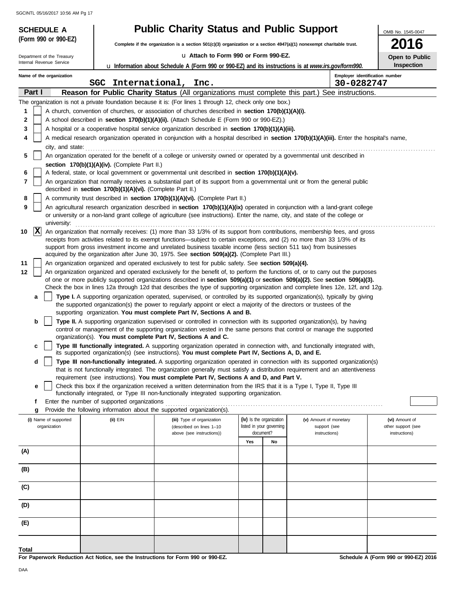| <b>SCHEDULE A</b>                     |                                                            | <b>Public Charity Status and Public Support</b>                                                                                                                                                                                                                        |                                                      |    |                                        | OMB No. 1545-0047                    |
|---------------------------------------|------------------------------------------------------------|------------------------------------------------------------------------------------------------------------------------------------------------------------------------------------------------------------------------------------------------------------------------|------------------------------------------------------|----|----------------------------------------|--------------------------------------|
| (Form 990 or 990-EZ)                  |                                                            | Complete if the organization is a section 501(c)(3) organization or a section 4947(a)(1) nonexempt charitable trust.                                                                                                                                                   |                                                      |    |                                        | 16                                   |
| Department of the Treasury            |                                                            | La Attach to Form 990 or Form 990-EZ.                                                                                                                                                                                                                                  |                                                      |    |                                        | Open to Public                       |
| Internal Revenue Service              |                                                            | <b>u</b> Information about Schedule A (Form 990 or 990-EZ) and its instructions is at www.irs.gov/form990.                                                                                                                                                             |                                                      |    |                                        | Inspection                           |
| Name of the organization              |                                                            |                                                                                                                                                                                                                                                                        |                                                      |    |                                        | Employer identification number       |
|                                       | SGC International, Inc.                                    |                                                                                                                                                                                                                                                                        |                                                      |    | 30-0282747                             |                                      |
| Part I                                |                                                            | Reason for Public Charity Status (All organizations must complete this part.) See instructions.                                                                                                                                                                        |                                                      |    |                                        |                                      |
| 1                                     |                                                            | The organization is not a private foundation because it is: (For lines 1 through 12, check only one box.)<br>A church, convention of churches, or association of churches described in section 170(b)(1)(A)(i).                                                        |                                                      |    |                                        |                                      |
| $\mathbf 2$                           |                                                            | A school described in section 170(b)(1)(A)(ii). (Attach Schedule E (Form 990 or 990-EZ).)                                                                                                                                                                              |                                                      |    |                                        |                                      |
| 3                                     |                                                            | A hospital or a cooperative hospital service organization described in section 170(b)(1)(A)(iii).                                                                                                                                                                      |                                                      |    |                                        |                                      |
| 4                                     |                                                            | A medical research organization operated in conjunction with a hospital described in section 170(b)(1)(A)(iii). Enter the hospital's name,                                                                                                                             |                                                      |    |                                        |                                      |
| city, and state:                      |                                                            |                                                                                                                                                                                                                                                                        |                                                      |    |                                        |                                      |
| 5                                     |                                                            | An organization operated for the benefit of a college or university owned or operated by a governmental unit described in                                                                                                                                              |                                                      |    |                                        |                                      |
|                                       | section 170(b)(1)(A)(iv). (Complete Part II.)              |                                                                                                                                                                                                                                                                        |                                                      |    |                                        |                                      |
| 6                                     |                                                            | A federal, state, or local government or governmental unit described in section 170(b)(1)(A)(v).                                                                                                                                                                       |                                                      |    |                                        |                                      |
| 7                                     | described in section 170(b)(1)(A)(vi). (Complete Part II.) | An organization that normally receives a substantial part of its support from a governmental unit or from the general public                                                                                                                                           |                                                      |    |                                        |                                      |
| 8                                     |                                                            | A community trust described in section 170(b)(1)(A)(vi). (Complete Part II.)                                                                                                                                                                                           |                                                      |    |                                        |                                      |
| 9                                     |                                                            | An agricultural research organization described in <b>section 170(b)(1)(A)(ix)</b> operated in conjunction with a land-grant college<br>or university or a non-land grant college of agriculture (see instructions). Enter the name, city, and state of the college or |                                                      |    |                                        |                                      |
| university:<br>$ {\bf x} $<br>10      |                                                            | An organization that normally receives: (1) more than 33 1/3% of its support from contributions, membership fees, and gross                                                                                                                                            |                                                      |    |                                        |                                      |
|                                       |                                                            | receipts from activities related to its exempt functions—subject to certain exceptions, and (2) no more than 33 1/3% of its                                                                                                                                            |                                                      |    |                                        |                                      |
|                                       |                                                            | support from gross investment income and unrelated business taxable income (less section 511 tax) from businesses                                                                                                                                                      |                                                      |    |                                        |                                      |
|                                       |                                                            | acquired by the organization after June 30, 1975. See section 509(a)(2). (Complete Part III.)                                                                                                                                                                          |                                                      |    |                                        |                                      |
| 11<br>12                              |                                                            | An organization organized and operated exclusively to test for public safety. See section 509(a)(4).<br>An organization organized and operated exclusively for the benefit of, to perform the functions of, or to carry out the purposes                               |                                                      |    |                                        |                                      |
|                                       |                                                            | of one or more publicly supported organizations described in section 509(a)(1) or section 509(a)(2). See section 509(a)(3).                                                                                                                                            |                                                      |    |                                        |                                      |
|                                       |                                                            | Check the box in lines 12a through 12d that describes the type of supporting organization and complete lines 12e, 12f, and 12g.                                                                                                                                        |                                                      |    |                                        |                                      |
| a                                     |                                                            | Type I. A supporting organization operated, supervised, or controlled by its supported organization(s), typically by giving                                                                                                                                            |                                                      |    |                                        |                                      |
|                                       |                                                            | the supported organization(s) the power to regularly appoint or elect a majority of the directors or trustees of the<br>supporting organization. You must complete Part IV, Sections A and B.                                                                          |                                                      |    |                                        |                                      |
| b                                     |                                                            | Type II. A supporting organization supervised or controlled in connection with its supported organization(s), by having                                                                                                                                                |                                                      |    |                                        |                                      |
|                                       |                                                            | control or management of the supporting organization vested in the same persons that control or manage the supported                                                                                                                                                   |                                                      |    |                                        |                                      |
|                                       |                                                            | organization(s). You must complete Part IV, Sections A and C.                                                                                                                                                                                                          |                                                      |    |                                        |                                      |
| c                                     |                                                            | Type III functionally integrated. A supporting organization operated in connection with, and functionally integrated with,<br>its supported organization(s) (see instructions). You must complete Part IV, Sections A, D, and E.                                       |                                                      |    |                                        |                                      |
| d                                     |                                                            | Type III non-functionally integrated. A supporting organization operated in connection with its supported organization(s)                                                                                                                                              |                                                      |    |                                        |                                      |
|                                       |                                                            | that is not functionally integrated. The organization generally must satisfy a distribution requirement and an attentiveness                                                                                                                                           |                                                      |    |                                        |                                      |
| е                                     |                                                            | requirement (see instructions). You must complete Part IV, Sections A and D, and Part V.<br>Check this box if the organization received a written determination from the IRS that it is a Type I, Type II, Type III                                                    |                                                      |    |                                        |                                      |
|                                       |                                                            | functionally integrated, or Type III non-functionally integrated supporting organization.                                                                                                                                                                              |                                                      |    |                                        |                                      |
| f                                     | Enter the number of supported organizations                |                                                                                                                                                                                                                                                                        |                                                      |    |                                        |                                      |
| g                                     |                                                            | Provide the following information about the supported organization(s).                                                                                                                                                                                                 |                                                      |    |                                        |                                      |
| (i) Name of supported<br>organization | $(ii)$ EIN                                                 | (iii) Type of organization<br>(described on lines 1-10                                                                                                                                                                                                                 | (iv) Is the organization<br>listed in your governing |    | (v) Amount of monetary<br>support (see | (vi) Amount of<br>other support (see |
|                                       |                                                            | above (see instructions))                                                                                                                                                                                                                                              | document?                                            |    | instructions)                          | instructions)                        |
|                                       |                                                            |                                                                                                                                                                                                                                                                        | Yes                                                  | No |                                        |                                      |
| (A)                                   |                                                            |                                                                                                                                                                                                                                                                        |                                                      |    |                                        |                                      |
| (B)                                   |                                                            |                                                                                                                                                                                                                                                                        |                                                      |    |                                        |                                      |
| (C)                                   |                                                            |                                                                                                                                                                                                                                                                        |                                                      |    |                                        |                                      |
|                                       |                                                            |                                                                                                                                                                                                                                                                        |                                                      |    |                                        |                                      |
| (D)                                   |                                                            |                                                                                                                                                                                                                                                                        |                                                      |    |                                        |                                      |
| (E)                                   |                                                            |                                                                                                                                                                                                                                                                        |                                                      |    |                                        |                                      |
| Total                                 |                                                            |                                                                                                                                                                                                                                                                        |                                                      |    |                                        |                                      |

**For Paperwork Reduction Act Notice, see the Instructions for Form 990 or 990-EZ.**

**Schedule A (Form 990 or 990-EZ) 2016**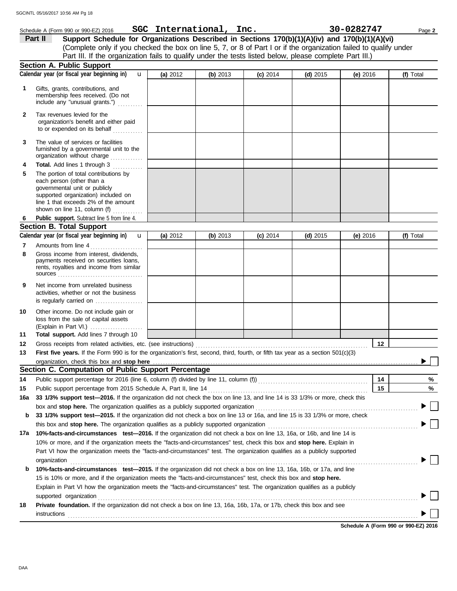|              | Schedule A (Form 990 or 990-EZ) 2016                                                                                                                                                                                           |          | SGC International, Inc. |            |            | 30-0282747 | Page 2    |
|--------------|--------------------------------------------------------------------------------------------------------------------------------------------------------------------------------------------------------------------------------|----------|-------------------------|------------|------------|------------|-----------|
|              | Support Schedule for Organizations Described in Sections 170(b)(1)(A)(iv) and 170(b)(1)(A)(vi)<br>Part II                                                                                                                      |          |                         |            |            |            |           |
|              | (Complete only if you checked the box on line 5, 7, or 8 of Part I or if the organization failed to qualify under                                                                                                              |          |                         |            |            |            |           |
|              | Part III. If the organization fails to qualify under the tests listed below, please complete Part III.)                                                                                                                        |          |                         |            |            |            |           |
|              | <b>Section A. Public Support</b>                                                                                                                                                                                               |          |                         |            |            |            |           |
|              | Calendar year (or fiscal year beginning in)<br>$\mathbf{u}$                                                                                                                                                                    | (a) 2012 | (b) 2013                | $(c)$ 2014 | $(d)$ 2015 | (e) $2016$ | (f) Total |
| 1            | Gifts, grants, contributions, and<br>membership fees received. (Do not<br>include any "unusual grants.")                                                                                                                       |          |                         |            |            |            |           |
| $\mathbf{2}$ | Tax revenues levied for the<br>organization's benefit and either paid<br>to or expended on its behalf                                                                                                                          |          |                         |            |            |            |           |
| 3            | The value of services or facilities<br>furnished by a governmental unit to the<br>organization without charge                                                                                                                  |          |                         |            |            |            |           |
| 4            | Total. Add lines 1 through 3<br>.                                                                                                                                                                                              |          |                         |            |            |            |           |
| 5            | The portion of total contributions by<br>each person (other than a<br>governmental unit or publicly<br>supported organization) included on<br>line 1 that exceeds 2% of the amount<br>shown on line 11, column (f)<br><u>.</u> |          |                         |            |            |            |           |
|              | Public support. Subtract line 5 from line 4.                                                                                                                                                                                   |          |                         |            |            |            |           |
|              | <b>Section B. Total Support</b>                                                                                                                                                                                                |          |                         |            |            |            |           |
|              | Calendar year (or fiscal year beginning in)<br>$\mathbf{u}$                                                                                                                                                                    | (a) 2012 | (b) $2013$              | $(c)$ 2014 | $(d)$ 2015 | (e) 2016   | (f) Total |
| 7            | Amounts from line 4                                                                                                                                                                                                            |          |                         |            |            |            |           |
| 8            | Gross income from interest, dividends,<br>payments received on securities loans,<br>rents, royalties and income from similar                                                                                                   |          |                         |            |            |            |           |
| 9            | Net income from unrelated business<br>activities, whether or not the business<br>is regularly carried on                                                                                                                       |          |                         |            |            |            |           |
| 10           | Other income. Do not include gain or<br>loss from the sale of capital assets<br>(Explain in Part VI.)                                                                                                                          |          |                         |            |            |            |           |
| 11           | Total support. Add lines 7 through 10                                                                                                                                                                                          |          |                         |            |            |            |           |
| 12           |                                                                                                                                                                                                                                |          |                         |            |            | 12         |           |
| 13           | First five years. If the Form 990 is for the organization's first, second, third, fourth, or fifth tax year as a section 501(c)(3)                                                                                             |          |                         |            |            |            |           |
|              | organization, check this box and stop here                                                                                                                                                                                     |          |                         |            |            |            |           |
|              | Section C. Computation of Public Support Percentage                                                                                                                                                                            |          |                         |            |            |            |           |
| 14           | Public support percentage for 2016 (line 6, column (f) divided by line 11, column (f)) [[[[[[[[[[[[[[[[[[[[[[                                                                                                                  |          |                         |            |            | 14         | %         |
| 15           | Public support percentage from 2015 Schedule A, Part II, line 14                                                                                                                                                               |          |                         |            |            | 15         | %         |
| 16a          | 33 1/3% support test-2016. If the organization did not check the box on line 13, and line 14 is 33 1/3% or more, check this                                                                                                    |          |                         |            |            |            |           |
|              | box and stop here. The organization qualifies as a publicly supported organization                                                                                                                                             |          |                         |            |            |            |           |
| b            | 33 1/3% support test-2015. If the organization did not check a box on line 13 or 16a, and line 15 is 33 1/3% or more, check                                                                                                    |          |                         |            |            |            |           |
|              | this box and stop here. The organization qualifies as a publicly supported organization                                                                                                                                        |          |                         |            |            |            |           |
| 17a          | 10%-facts-and-circumstances test-2016. If the organization did not check a box on line 13, 16a, or 16b, and line 14 is                                                                                                         |          |                         |            |            |            |           |
|              | 10% or more, and if the organization meets the "facts-and-circumstances" test, check this box and stop here. Explain in                                                                                                        |          |                         |            |            |            |           |
|              | Part VI how the organization meets the "facts-and-circumstances" test. The organization qualifies as a publicly supported                                                                                                      |          |                         |            |            |            |           |
|              | organization                                                                                                                                                                                                                   |          |                         |            |            |            |           |
| b            | 10%-facts-and-circumstances test-2015. If the organization did not check a box on line 13, 16a, 16b, or 17a, and line                                                                                                          |          |                         |            |            |            |           |
|              | 15 is 10% or more, and if the organization meets the "facts-and-circumstances" test, check this box and stop here.                                                                                                             |          |                         |            |            |            |           |
|              | Explain in Part VI how the organization meets the "facts-and-circumstances" test. The organization qualifies as a publicly                                                                                                     |          |                         |            |            |            |           |
|              | supported organization                                                                                                                                                                                                         |          |                         |            |            |            |           |
| 18           | Private foundation. If the organization did not check a box on line 13, 16a, 16b, 17a, or 17b, check this box and see<br>instructions                                                                                          |          |                         |            |            |            |           |

**Schedule A (Form 990 or 990-EZ) 2016**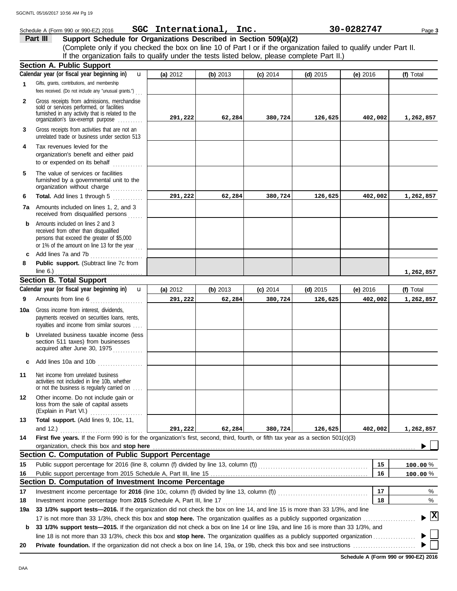N.

Þ

|              | GCINTL 05/16/2017 10:56 AM Pg 19<br>Schedule A (Form 990 or 990-EZ) 2016                                                                                                                                                                                                                            | SGC International, Inc. |          |            |            | 30-0282747 | Page 3    |
|--------------|-----------------------------------------------------------------------------------------------------------------------------------------------------------------------------------------------------------------------------------------------------------------------------------------------------|-------------------------|----------|------------|------------|------------|-----------|
|              | Support Schedule for Organizations Described in Section 509(a)(2)<br>Part III<br>(Complete only if you checked the box on line 10 of Part I or if the organization failed to qualify under Part II.<br>If the organization fails to qualify under the tests listed below, please complete Part II.) |                         |          |            |            |            |           |
|              | <b>Section A. Public Support</b>                                                                                                                                                                                                                                                                    |                         |          |            |            |            |           |
|              | Calendar year (or fiscal year beginning in)<br>$\mathbf{u}$                                                                                                                                                                                                                                         | (a) 2012                | (b) 2013 | $(c)$ 2014 | $(d)$ 2015 | $(e)$ 2016 | (f) Total |
| 1            | Gifts, grants, contributions, and membership<br>fees received. (Do not include any "unusual grants.")                                                                                                                                                                                               |                         |          |            |            |            |           |
| $\mathbf{2}$ | Gross receipts from admissions, merchandise<br>sold or services performed, or facilities<br>furnished in any activity that is related to the<br>organization's tax-exempt purpose                                                                                                                   | 291,222                 | 62,284   | 380,724    | 126,625    | 402,002    | 1,262,857 |
| 3            | Gross receipts from activities that are not an<br>unrelated trade or business under section 513                                                                                                                                                                                                     |                         |          |            |            |            |           |
| 4            | Tax revenues levied for the<br>organization's benefit and either paid<br>to or expended on its behalf                                                                                                                                                                                               |                         |          |            |            |            |           |
| 5            | The value of services or facilities<br>furnished by a governmental unit to the<br>organization without charge                                                                                                                                                                                       |                         |          |            |            |            |           |
| 6            | Total. Add lines 1 through 5                                                                                                                                                                                                                                                                        | 291,222                 | 62,284   | 380,724    | 126,625    | 402,002    | 1,262,857 |
|              | <b>7a</b> Amounts included on lines 1, 2, and 3<br>received from disqualified persons                                                                                                                                                                                                               |                         |          |            |            |            |           |
|              | Amounts included on lines 2 and 3<br>received from other than disqualified<br>persons that exceed the greater of \$5,000<br>or 1% of the amount on line 13 for the year $\ldots$                                                                                                                    |                         |          |            |            |            |           |
|              | c Add lines 7a and 7b                                                                                                                                                                                                                                                                               |                         |          |            |            |            |           |
| 8            | Public support. (Subtract line 7c from<br>line $6.$ )                                                                                                                                                                                                                                               |                         |          |            |            |            | 1,262,857 |
|              | <b>Section B. Total Support</b>                                                                                                                                                                                                                                                                     |                         |          |            |            |            |           |
|              | Calendar year (or fiscal year beginning in)<br>$\mathbf{u}$                                                                                                                                                                                                                                         | (a) 2012                | (b) 2013 | $(c)$ 2014 | $(d)$ 2015 | (e) 2016   | (f) Total |
| 9            | Amounts from line 6<br>.                                                                                                                                                                                                                                                                            | 291,222                 | 62,284   | 380,724    | 126,625    | 402,002    | 1,262,857 |
|              | 10a Gross income from interest, dividends,<br>payments received on securities loans, rents,<br>royalties and income from similar sources                                                                                                                                                            |                         |          |            |            |            |           |
| b            | Unrelated business taxable income (less<br>section 511 taxes) from businesses<br>acquired after June 30, 1975                                                                                                                                                                                       |                         |          |            |            |            |           |
| c            | Add lines 10a and 10b                                                                                                                                                                                                                                                                               |                         |          |            |            |            |           |
| 11           | Net income from unrelated business<br>activities not included in line 10b, whether<br>or not the business is regularly carried on                                                                                                                                                                   |                         |          |            |            |            |           |
| 12           | Other income. Do not include gain or<br>loss from the sale of capital assets<br>(Explain in Part VI.)                                                                                                                                                                                               |                         |          |            |            |            |           |

**14 First five years.** If the Form 990 is for the organization's first, second, third, fourth, or fifth tax year as a section 501(c)(3) organization, check this box and stop here **Section C. Computation of Public Support** and 12.) . . . . . . . . . . . . . . . . . . . . . . . . . . . . . . . . . **291,222 62,284 380,724 126,625 402,002 1,262,857**

|     | Section C. Computation of Public Support Percentage                                                                                     |    |                                               |
|-----|-----------------------------------------------------------------------------------------------------------------------------------------|----|-----------------------------------------------|
| 15  | Public support percentage for 2016 (line 8, column (f) divided by line 13, column (f))                                                  | 15 | $100.00\%$                                    |
| 16  |                                                                                                                                         | 16 | 100.00%                                       |
|     | Section D. Computation of Investment Income Percentage                                                                                  |    |                                               |
| 17  | Investment income percentage for 2016 (line 10c, column (f) divided by line 13, column (f))                                             | 17 | $\%$                                          |
| 18  | Investment income percentage from 2015 Schedule A, Part III, line 17                                                                    | 18 | $\%$                                          |
| 19a | 33 1/3% support tests—2016. If the organization did not check the box on line 14, and line 15 is more than 33 1/3%, and line            |    |                                               |
|     | 17 is not more than 33 1/3%, check this box and stop here. The organization qualifies as a publicly supported organization              |    | $\blacktriangleright$ $\overline{\mathbf{X}}$ |
| b   | 33 1/3% support tests—2015. If the organization did not check a box on line 14 or line 19a, and line 16 is more than 33 1/3%, and       |    |                                               |
|     | ling 18 is not more than 33 1/3%, check this hov and <b>ston here</b> . The organization qualifies as a publicly supported organization |    | ⊾ I ∴                                         |

line 18 is not more than 33 1/3%, check this box and stop here. The organization qualifies as a publicly supported organization ................. **20 Private foundation.** If the organization did not check a box on line 14, 19a, or 19b, check this box and see instructions . . . . . . . . . . . . . . . . . . . . . . . . .

**Schedule A (Form 990 or 990-EZ) 2016**

**13 Total support.** (Add lines 9, 10c, 11,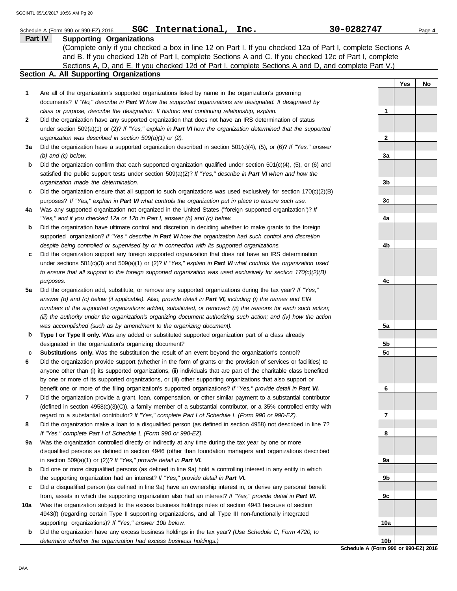|     | International, Inc.<br>SGC<br>Schedule A (Form 990 or 990-EZ) 2016                                                                              | 30-0282747 |     | Page 4 |
|-----|-------------------------------------------------------------------------------------------------------------------------------------------------|------------|-----|--------|
|     | <b>Supporting Organizations</b><br>Part IV                                                                                                      |            |     |        |
|     | (Complete only if you checked a box in line 12 on Part I. If you checked 12a of Part I, complete Sections A                                     |            |     |        |
|     | and B. If you checked 12b of Part I, complete Sections A and C. If you checked 12c of Part I, complete                                          |            |     |        |
|     | Sections A, D, and E. If you checked 12d of Part I, complete Sections A and D, and complete Part V.)<br>Section A. All Supporting Organizations |            |     |        |
|     |                                                                                                                                                 |            |     |        |
|     |                                                                                                                                                 |            | Yes | No     |
| 1   | Are all of the organization's supported organizations listed by name in the organization's governing                                            |            |     |        |
|     | documents? If "No," describe in Part VI how the supported organizations are designated. If designated by                                        |            |     |        |
|     | class or purpose, describe the designation. If historic and continuing relationship, explain.                                                   | 1          |     |        |
| 2   | Did the organization have any supported organization that does not have an IRS determination of status                                          |            |     |        |
|     | under section 509(a)(1) or (2)? If "Yes," explain in Part VI how the organization determined that the supported                                 |            |     |        |
|     | organization was described in section 509(a)(1) or (2).                                                                                         | 2          |     |        |
| За  | Did the organization have a supported organization described in section $501(c)(4)$ , $(5)$ , or $(6)$ ? If "Yes," answer                       |            |     |        |
|     | (b) and (c) below.                                                                                                                              | За         |     |        |
| b   | Did the organization confirm that each supported organization qualified under section $501(c)(4)$ , (5), or (6) and                             |            |     |        |
|     | satisfied the public support tests under section 509(a)(2)? If "Yes," describe in Part VI when and how the                                      |            |     |        |
|     | organization made the determination.                                                                                                            | 3b         |     |        |
| c   | Did the organization ensure that all support to such organizations was used exclusively for section $170(c)(2)(B)$                              |            |     |        |
|     | purposes? If "Yes," explain in Part VI what controls the organization put in place to ensure such use.                                          | 3c         |     |        |
| 4a  | Was any supported organization not organized in the United States ("foreign supported organization")? If                                        |            |     |        |
|     | "Yes," and if you checked 12a or 12b in Part I, answer (b) and (c) below.                                                                       | 4a         |     |        |
| b   | Did the organization have ultimate control and discretion in deciding whether to make grants to the foreign                                     |            |     |        |
|     | supported organization? If "Yes," describe in Part VI how the organization had such control and discretion                                      |            |     |        |
|     | despite being controlled or supervised by or in connection with its supported organizations.                                                    | 4b         |     |        |
| c   | Did the organization support any foreign supported organization that does not have an IRS determination                                         |            |     |        |
|     | under sections $501(c)(3)$ and $509(a)(1)$ or (2)? If "Yes," explain in Part VI what controls the organization used                             |            |     |        |
|     | to ensure that all support to the foreign supported organization was used exclusively for section $170(c)(2)(B)$                                |            |     |        |
|     | purposes.                                                                                                                                       | 4c         |     |        |
| 5a  | Did the organization add, substitute, or remove any supported organizations during the tax year? If "Yes,"                                      |            |     |        |
|     | answer (b) and (c) below (if applicable). Also, provide detail in Part VI, including (i) the names and EIN                                      |            |     |        |
|     | numbers of the supported organizations added, substituted, or removed; (ii) the reasons for each such action;                                   |            |     |        |
|     | (iii) the authority under the organization's organizing document authorizing such action; and (iv) how the action                               |            |     |        |
|     | was accomplished (such as by amendment to the organizing document).                                                                             | 5a         |     |        |
| b   | Type I or Type II only. Was any added or substituted supported organization part of a class already                                             |            |     |        |
|     | designated in the organization's organizing document?                                                                                           | 5b         |     |        |
| c   | Substitutions only. Was the substitution the result of an event beyond the organization's control?                                              | 5c         |     |        |
| 6   | Did the organization provide support (whether in the form of grants or the provision of services or facilities) to                              |            |     |        |
|     | anyone other than (i) its supported organizations, (ii) individuals that are part of the charitable class benefited                             |            |     |        |
|     | by one or more of its supported organizations, or (iii) other supporting organizations that also support or                                     |            |     |        |
|     | benefit one or more of the filing organization's supported organizations? If "Yes," provide detail in Part VI.                                  | 6          |     |        |
| 7   | Did the organization provide a grant, loan, compensation, or other similar payment to a substantial contributor                                 |            |     |        |
|     | (defined in section $4958(c)(3)(C)$ ), a family member of a substantial contributor, or a 35% controlled entity with                            |            |     |        |
|     | regard to a substantial contributor? If "Yes," complete Part I of Schedule L (Form 990 or 990-EZ).                                              | 7          |     |        |
| 8   | Did the organization make a loan to a disqualified person (as defined in section 4958) not described in line 7?                                 |            |     |        |
|     | If "Yes," complete Part I of Schedule L (Form 990 or 990-EZ).                                                                                   | 8          |     |        |
| 9a  | Was the organization controlled directly or indirectly at any time during the tax year by one or more                                           |            |     |        |
|     | disqualified persons as defined in section 4946 (other than foundation managers and organizations described                                     |            |     |        |
|     | in section $509(a)(1)$ or (2))? If "Yes," provide detail in Part VI.                                                                            | 9а         |     |        |
| b   | Did one or more disqualified persons (as defined in line 9a) hold a controlling interest in any entity in which                                 |            |     |        |
|     | the supporting organization had an interest? If "Yes," provide detail in Part VI.                                                               | 9b         |     |        |
| c   | Did a disqualified person (as defined in line 9a) have an ownership interest in, or derive any personal benefit                                 |            |     |        |
|     | from, assets in which the supporting organization also had an interest? If "Yes," provide detail in Part VI.                                    | 9c         |     |        |
| 10a | Was the organization subject to the excess business holdings rules of section 4943 because of section                                           |            |     |        |
|     | 4943(f) (regarding certain Type II supporting organizations, and all Type III non-functionally integrated                                       |            |     |        |
|     | supporting organizations)? If "Yes," answer 10b below.                                                                                          | 10a        |     |        |
| b   | Did the organization have any excess business holdings in the tax year? (Use Schedule C, Form 4720, to                                          |            |     |        |

**Schedule A (Form 990 or 990-EZ) 2016 10b**

*determine whether the organization had excess business holdings.)*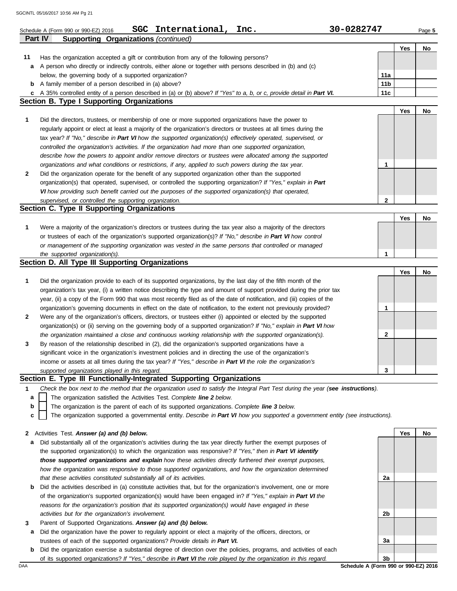|    | SGC International, Inc.<br>30-0282747<br>Schedule A (Form 990 or 990-EZ) 2016                                                     |              |     | Page 5 |
|----|-----------------------------------------------------------------------------------------------------------------------------------|--------------|-----|--------|
|    | <b>Supporting Organizations (continued)</b><br>Part IV                                                                            |              |     |        |
|    |                                                                                                                                   |              | Yes | No     |
| 11 | Has the organization accepted a gift or contribution from any of the following persons?                                           |              |     |        |
| a  | A person who directly or indirectly controls, either alone or together with persons described in (b) and (c)                      |              |     |        |
|    | below, the governing body of a supported organization?                                                                            | 11a          |     |        |
|    | <b>b</b> A family member of a person described in (a) above?                                                                      | 11b          |     |        |
|    | c A 35% controlled entity of a person described in (a) or (b) above? If "Yes" to a, b, or c, provide detail in Part VI.           | 11c          |     |        |
|    | Section B. Type I Supporting Organizations                                                                                        |              |     |        |
|    |                                                                                                                                   |              | Yes | No     |
| 1  | Did the directors, trustees, or membership of one or more supported organizations have the power to                               |              |     |        |
|    | regularly appoint or elect at least a majority of the organization's directors or trustees at all times during the                |              |     |        |
|    | tax year? If "No," describe in Part VI how the supported organization(s) effectively operated, supervised, or                     |              |     |        |
|    | controlled the organization's activities. If the organization had more than one supported organization,                           |              |     |        |
|    | describe how the powers to appoint and/or remove directors or trustees were allocated among the supported                         |              |     |        |
|    | organizations and what conditions or restrictions, if any, applied to such powers during the tax year.                            | 1            |     |        |
| 2  | Did the organization operate for the benefit of any supported organization other than the supported                               |              |     |        |
|    | organization(s) that operated, supervised, or controlled the supporting organization? If "Yes," explain in Part                   |              |     |        |
|    | VI how providing such benefit carried out the purposes of the supported organization(s) that operated,                            |              |     |        |
|    | supervised, or controlled the supporting organization.                                                                            | $\mathbf{2}$ |     |        |
|    | Section C. Type II Supporting Organizations                                                                                       |              |     |        |
|    |                                                                                                                                   |              | Yes | No     |
| 1  | Were a majority of the organization's directors or trustees during the tax year also a majority of the directors                  |              |     |        |
|    | or trustees of each of the organization's supported organization(s)? If "No," describe in Part VI how control                     |              |     |        |
|    | or management of the supporting organization was vested in the same persons that controlled or managed                            |              |     |        |
|    | the supported organization(s).                                                                                                    | 1            |     |        |
|    | Section D. All Type III Supporting Organizations                                                                                  |              |     |        |
|    |                                                                                                                                   |              | Yes | No     |
| 1  | Did the organization provide to each of its supported organizations, by the last day of the fifth month of the                    |              |     |        |
|    | organization's tax year, (i) a written notice describing the type and amount of support provided during the prior tax             |              |     |        |
|    | year, (ii) a copy of the Form 990 that was most recently filed as of the date of notification, and (iii) copies of the            |              |     |        |
|    | organization's governing documents in effect on the date of notification, to the extent not previously provided?                  | 1            |     |        |
| 2  | Were any of the organization's officers, directors, or trustees either (i) appointed or elected by the supported                  |              |     |        |
|    | organization(s) or (ii) serving on the governing body of a supported organization? If "No," explain in Part VI how                |              |     |        |
|    | the organization maintained a close and continuous working relationship with the supported organization(s).                       | $\mathbf{2}$ |     |        |
| 3  | By reason of the relationship described in (2), did the organization's supported organizations have a                             |              |     |        |
|    | significant voice in the organization's investment policies and in directing the use of the organization's                        |              |     |        |
|    | income or assets at all times during the tax year? If "Yes," describe in Part VI the role the organization's                      |              |     |        |
|    | supported organizations played in this regard.                                                                                    | 3            |     |        |
|    | Section E. Type III Functionally-Integrated Supporting Organizations                                                              |              |     |        |
| 1  | Check the box next to the method that the organization used to satisfy the Integral Part Test during the year (see instructions). |              |     |        |
| a  | The organization satisfied the Activities Test. Complete line 2 below.                                                            |              |     |        |
| b  | The organization is the parent of each of its supported organizations. Complete line 3 below.                                     |              |     |        |
| c  | The organization supported a governmental entity. Describe in Part VI how you supported a government entity (see instructions).   |              |     |        |
|    |                                                                                                                                   |              |     |        |
|    | 2 Activities Test. Answer (a) and (b) below.                                                                                      |              | Yes | No     |
| а  | Did substantially all of the organization's activities during the tax year directly further the exempt purposes of                |              |     |        |
|    | the supported organization(s) to which the organization was responsive? If "Yes," then in Part VI identify                        |              |     |        |
|    | those supported organizations and explain how these activities directly furthered their exempt purposes,                          |              |     |        |
|    | how the organization was responsive to those supported organizations, and how the organization determined                         |              |     |        |
|    | that these activities constituted substantially all of its activities.                                                            | 2a           |     |        |
| b  | Did the activities described in (a) constitute activities that, but for the organization's involvement, one or more               |              |     |        |
|    | of the organization's supported organization(s) would have been engaged in? If "Yes," explain in Part VI the                      |              |     |        |
|    | reasons for the organization's position that its supported organization(s) would have engaged in these                            |              |     |        |
|    | activities but for the organization's involvement.                                                                                | 2b           |     |        |
| 3  | Parent of Supported Organizations. Answer (a) and (b) below.                                                                      |              |     |        |
| a  | Did the organization have the power to regularly appoint or elect a majority of the officers, directors, or                       |              |     |        |
|    | trustees of each of the supported organizations? Provide details in Part VI.                                                      | 3a           |     |        |

**b** Did the organization exercise a substantial degree of direction over the policies, programs, and activities of each of its supported organizations? *If "Yes," describe in Part VI the role played by the organization in this regard.*

DAA **Schedule A (Form 990 or 990-EZ) 2016 3b**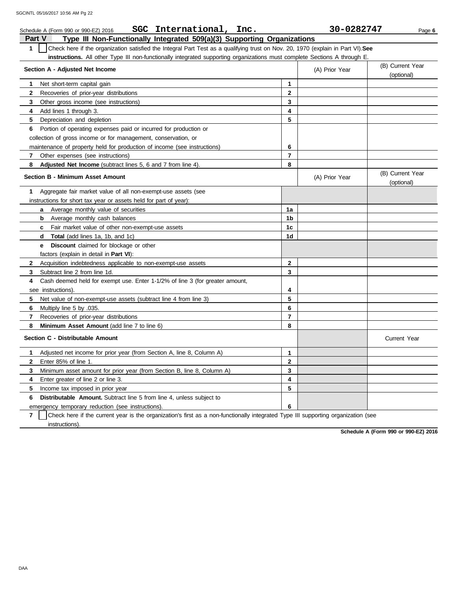| SGC International, Inc.<br>Schedule A (Form 990 or 990-EZ) 2016                                                                                  |                         | 30-0282747     | Page 6                         |  |  |
|--------------------------------------------------------------------------------------------------------------------------------------------------|-------------------------|----------------|--------------------------------|--|--|
| <b>Part V</b><br>Type III Non-Functionally Integrated 509(a)(3) Supporting Organizations                                                         |                         |                |                                |  |  |
| Check here if the organization satisfied the Integral Part Test as a qualifying trust on Nov. 20, 1970 (explain in Part VI). See<br>$\mathbf{1}$ |                         |                |                                |  |  |
| <b>instructions.</b> All other Type III non-functionally integrated supporting organizations must complete Sections A through E.                 |                         |                |                                |  |  |
| Section A - Adjusted Net Income                                                                                                                  |                         | (A) Prior Year | (B) Current Year               |  |  |
|                                                                                                                                                  |                         |                | (optional)                     |  |  |
| Net short-term capital gain<br>1.                                                                                                                | $\mathbf{1}$            |                |                                |  |  |
| $\mathbf{2}$<br>Recoveries of prior-year distributions                                                                                           | $\mathbf{2}$            |                |                                |  |  |
| 3<br>Other gross income (see instructions)                                                                                                       | 3                       |                |                                |  |  |
| 4<br>Add lines 1 through 3.                                                                                                                      | 4                       |                |                                |  |  |
| 5<br>Depreciation and depletion                                                                                                                  | 5                       |                |                                |  |  |
| 6 Portion of operating expenses paid or incurred for production or                                                                               |                         |                |                                |  |  |
| collection of gross income or for management, conservation, or                                                                                   |                         |                |                                |  |  |
| maintenance of property held for production of income (see instructions)                                                                         | 6                       |                |                                |  |  |
| Other expenses (see instructions)<br>$\mathbf{7}$                                                                                                | $\overline{7}$          |                |                                |  |  |
| 8<br><b>Adjusted Net Income</b> (subtract lines 5, 6 and 7 from line 4).                                                                         | 8                       |                |                                |  |  |
| <b>Section B - Minimum Asset Amount</b>                                                                                                          |                         | (A) Prior Year | (B) Current Year<br>(optional) |  |  |
| Aggregate fair market value of all non-exempt-use assets (see<br>1                                                                               |                         |                |                                |  |  |
| instructions for short tax year or assets held for part of year):                                                                                |                         |                |                                |  |  |
| Average monthly value of securities<br>a                                                                                                         | 1a                      |                |                                |  |  |
| <b>b</b> Average monthly cash balances                                                                                                           | 1 <sub>b</sub>          |                |                                |  |  |
| <b>c</b> Fair market value of other non-exempt-use assets                                                                                        | 1 <sub>c</sub>          |                |                                |  |  |
| <b>Total</b> (add lines 1a, 1b, and 1c)<br>d                                                                                                     | 1d                      |                |                                |  |  |
| <b>Discount</b> claimed for blockage or other<br>e –                                                                                             |                         |                |                                |  |  |
| factors (explain in detail in Part VI):                                                                                                          |                         |                |                                |  |  |
| Acquisition indebtedness applicable to non-exempt-use assets<br>$\mathbf{2}$                                                                     | $\mathbf 2$             |                |                                |  |  |
| Subtract line 2 from line 1d.<br>3                                                                                                               | 3                       |                |                                |  |  |
| Cash deemed held for exempt use. Enter 1-1/2% of line 3 (for greater amount,<br>4                                                                |                         |                |                                |  |  |
| see instructions).                                                                                                                               | 4                       |                |                                |  |  |
| 5<br>Net value of non-exempt-use assets (subtract line 4 from line 3)                                                                            | 5                       |                |                                |  |  |
| 6<br>Multiply line 5 by .035.                                                                                                                    | 6                       |                |                                |  |  |
| 7<br>Recoveries of prior-year distributions                                                                                                      | $\overline{\mathbf{r}}$ |                |                                |  |  |
| Minimum Asset Amount (add line 7 to line 6)<br>8                                                                                                 | 8                       |                |                                |  |  |
| Section C - Distributable Amount                                                                                                                 |                         |                | <b>Current Year</b>            |  |  |
| Adjusted net income for prior year (from Section A, line 8, Column A)<br>1                                                                       | 1                       |                |                                |  |  |
| $\mathbf{2}$<br>Enter 85% of line 1.                                                                                                             | $\overline{2}$          |                |                                |  |  |
| 3<br>Minimum asset amount for prior year (from Section B, line 8, Column A)                                                                      | 3                       |                |                                |  |  |
| Enter greater of line 2 or line 3.<br>4                                                                                                          | 4                       |                |                                |  |  |
| 5<br>Income tax imposed in prior year                                                                                                            | 5                       |                |                                |  |  |
| <b>Distributable Amount.</b> Subtract line 5 from line 4, unless subject to<br>6                                                                 |                         |                |                                |  |  |
| emergency temporary reduction (see instructions).                                                                                                | 6                       |                |                                |  |  |

**7** | Check here if the current year is the organization's first as a non-functionally integrated Type III supporting organization (see instructions).

**Schedule A (Form 990 or 990-EZ) 2016**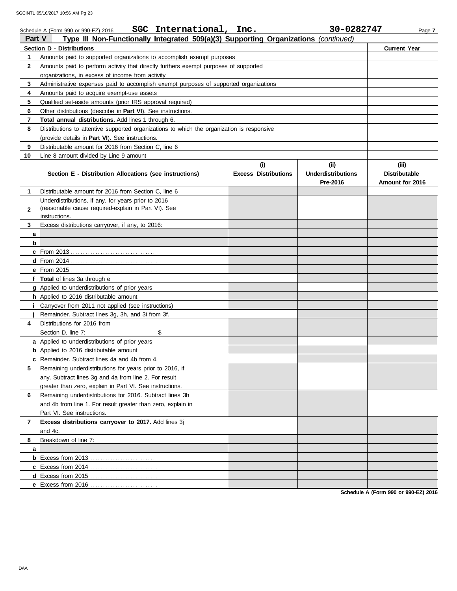| <b>Part V</b> | SGC International, Inc.<br>Schedule A (Form 990 or 990-EZ) 2016<br>Type III Non-Functionally Integrated 509(a)(3) Supporting Organizations (continued) |                             | 30-0282747                | Page 7               |
|---------------|--------------------------------------------------------------------------------------------------------------------------------------------------------|-----------------------------|---------------------------|----------------------|
|               | <b>Section D - Distributions</b>                                                                                                                       |                             |                           | <b>Current Year</b>  |
| 1             | Amounts paid to supported organizations to accomplish exempt purposes                                                                                  |                             |                           |                      |
| 2             | Amounts paid to perform activity that directly furthers exempt purposes of supported                                                                   |                             |                           |                      |
|               | organizations, in excess of income from activity                                                                                                       |                             |                           |                      |
| 3             | Administrative expenses paid to accomplish exempt purposes of supported organizations                                                                  |                             |                           |                      |
| 4             | Amounts paid to acquire exempt-use assets                                                                                                              |                             |                           |                      |
| 5             | Qualified set-aside amounts (prior IRS approval required)                                                                                              |                             |                           |                      |
| 6             | Other distributions (describe in Part VI). See instructions.                                                                                           |                             |                           |                      |
| 7             | Total annual distributions. Add lines 1 through 6.                                                                                                     |                             |                           |                      |
| 8             | Distributions to attentive supported organizations to which the organization is responsive                                                             |                             |                           |                      |
|               | (provide details in <b>Part VI</b> ). See instructions.                                                                                                |                             |                           |                      |
| 9             | Distributable amount for 2016 from Section C, line 6                                                                                                   |                             |                           |                      |
| 10            | Line 8 amount divided by Line 9 amount                                                                                                                 |                             |                           |                      |
|               |                                                                                                                                                        | (i)                         | (iii)                     | (iii)                |
|               | Section E - Distribution Allocations (see instructions)                                                                                                | <b>Excess Distributions</b> | <b>Underdistributions</b> | <b>Distributable</b> |
|               |                                                                                                                                                        |                             | Pre-2016                  | Amount for 2016      |
| 1             | Distributable amount for 2016 from Section C. line 6                                                                                                   |                             |                           |                      |
|               | Underdistributions, if any, for years prior to 2016                                                                                                    |                             |                           |                      |
| $\mathbf{2}$  | (reasonable cause required-explain in Part VI). See                                                                                                    |                             |                           |                      |
|               | instructions.                                                                                                                                          |                             |                           |                      |
| 3             | Excess distributions carryover, if any, to 2016:                                                                                                       |                             |                           |                      |
| a             |                                                                                                                                                        |                             |                           |                      |
| b             |                                                                                                                                                        |                             |                           |                      |
|               |                                                                                                                                                        |                             |                           |                      |
|               |                                                                                                                                                        |                             |                           |                      |
|               | e From 2015.<br>. <u>.</u> .                                                                                                                           |                             |                           |                      |
|               | f Total of lines 3a through e                                                                                                                          |                             |                           |                      |
|               | g Applied to underdistributions of prior years                                                                                                         |                             |                           |                      |
|               | <b>h</b> Applied to 2016 distributable amount                                                                                                          |                             |                           |                      |
|               | Carryover from 2011 not applied (see instructions)                                                                                                     |                             |                           |                      |
|               | Remainder. Subtract lines 3g, 3h, and 3i from 3f.                                                                                                      |                             |                           |                      |
| 4             | Distributions for 2016 from                                                                                                                            |                             |                           |                      |
|               | Section D, line 7:<br>\$                                                                                                                               |                             |                           |                      |
|               | a Applied to underdistributions of prior years                                                                                                         |                             |                           |                      |
|               | <b>b</b> Applied to 2016 distributable amount                                                                                                          |                             |                           |                      |
|               | c Remainder. Subtract lines 4a and 4b from 4.                                                                                                          |                             |                           |                      |
| 5             | Remaining underdistributions for years prior to 2016, if                                                                                               |                             |                           |                      |
|               | any. Subtract lines 3g and 4a from line 2. For result                                                                                                  |                             |                           |                      |
|               | greater than zero, explain in Part VI. See instructions.                                                                                               |                             |                           |                      |
| 6             | Remaining underdistributions for 2016. Subtract lines 3h                                                                                               |                             |                           |                      |
|               | and 4b from line 1. For result greater than zero, explain in                                                                                           |                             |                           |                      |
|               | Part VI. See instructions.                                                                                                                             |                             |                           |                      |
| 7             | Excess distributions carryover to 2017. Add lines 3j                                                                                                   |                             |                           |                      |
|               | and 4c.                                                                                                                                                |                             |                           |                      |
| 8             | Breakdown of line 7:                                                                                                                                   |                             |                           |                      |
| a             |                                                                                                                                                        |                             |                           |                      |
|               |                                                                                                                                                        |                             |                           |                      |
|               | c Excess from 2014<br>.                                                                                                                                |                             |                           |                      |
|               | <b>d</b> Excess from 2015                                                                                                                              |                             |                           |                      |
|               | e Excess from 2016                                                                                                                                     |                             |                           |                      |

**Schedule A (Form 990 or 990-EZ) 2016**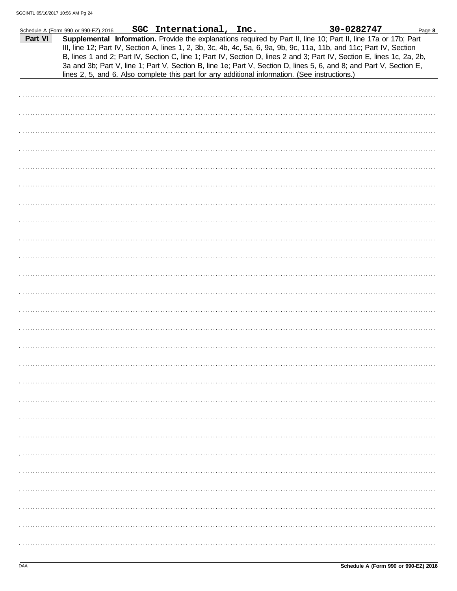|         | Schedule A (Form 990 or 990-EZ) 2016 | SGC International, Inc.                                                                                                                                                                                                                                                                                                                                                                                                                                                                                                                                                                    |  | 30-0282747 | Page 8 |
|---------|--------------------------------------|--------------------------------------------------------------------------------------------------------------------------------------------------------------------------------------------------------------------------------------------------------------------------------------------------------------------------------------------------------------------------------------------------------------------------------------------------------------------------------------------------------------------------------------------------------------------------------------------|--|------------|--------|
| Part VI |                                      | Supplemental Information. Provide the explanations required by Part II, line 10; Part II, line 17a or 17b; Part<br>III, line 12; Part IV, Section A, lines 1, 2, 3b, 3c, 4b, 4c, 5a, 6, 9a, 9b, 9c, 11a, 11b, and 11c; Part IV, Section<br>B, lines 1 and 2; Part IV, Section C, line 1; Part IV, Section D, lines 2 and 3; Part IV, Section E, lines 1c, 2a, 2b,<br>3a and 3b; Part V, line 1; Part V, Section B, line 1e; Part V, Section D, lines 5, 6, and 8; and Part V, Section E,<br>lines 2, 5, and 6. Also complete this part for any additional information. (See instructions.) |  |            |        |
|         |                                      |                                                                                                                                                                                                                                                                                                                                                                                                                                                                                                                                                                                            |  |            |        |
|         |                                      |                                                                                                                                                                                                                                                                                                                                                                                                                                                                                                                                                                                            |  |            |        |
|         |                                      |                                                                                                                                                                                                                                                                                                                                                                                                                                                                                                                                                                                            |  |            |        |
|         |                                      |                                                                                                                                                                                                                                                                                                                                                                                                                                                                                                                                                                                            |  |            |        |
|         |                                      |                                                                                                                                                                                                                                                                                                                                                                                                                                                                                                                                                                                            |  |            |        |
|         |                                      |                                                                                                                                                                                                                                                                                                                                                                                                                                                                                                                                                                                            |  |            |        |
|         |                                      |                                                                                                                                                                                                                                                                                                                                                                                                                                                                                                                                                                                            |  |            |        |
|         |                                      |                                                                                                                                                                                                                                                                                                                                                                                                                                                                                                                                                                                            |  |            |        |
|         |                                      |                                                                                                                                                                                                                                                                                                                                                                                                                                                                                                                                                                                            |  |            |        |
|         |                                      |                                                                                                                                                                                                                                                                                                                                                                                                                                                                                                                                                                                            |  |            |        |
|         |                                      |                                                                                                                                                                                                                                                                                                                                                                                                                                                                                                                                                                                            |  |            |        |
|         |                                      |                                                                                                                                                                                                                                                                                                                                                                                                                                                                                                                                                                                            |  |            |        |
|         |                                      |                                                                                                                                                                                                                                                                                                                                                                                                                                                                                                                                                                                            |  |            |        |
|         |                                      |                                                                                                                                                                                                                                                                                                                                                                                                                                                                                                                                                                                            |  |            |        |
|         |                                      |                                                                                                                                                                                                                                                                                                                                                                                                                                                                                                                                                                                            |  |            |        |
|         |                                      |                                                                                                                                                                                                                                                                                                                                                                                                                                                                                                                                                                                            |  |            |        |
|         |                                      |                                                                                                                                                                                                                                                                                                                                                                                                                                                                                                                                                                                            |  |            |        |
|         |                                      |                                                                                                                                                                                                                                                                                                                                                                                                                                                                                                                                                                                            |  |            |        |
|         |                                      |                                                                                                                                                                                                                                                                                                                                                                                                                                                                                                                                                                                            |  |            |        |
|         |                                      |                                                                                                                                                                                                                                                                                                                                                                                                                                                                                                                                                                                            |  |            |        |
|         |                                      |                                                                                                                                                                                                                                                                                                                                                                                                                                                                                                                                                                                            |  |            |        |
|         |                                      |                                                                                                                                                                                                                                                                                                                                                                                                                                                                                                                                                                                            |  |            |        |
|         |                                      |                                                                                                                                                                                                                                                                                                                                                                                                                                                                                                                                                                                            |  |            |        |
|         |                                      |                                                                                                                                                                                                                                                                                                                                                                                                                                                                                                                                                                                            |  |            |        |
|         |                                      |                                                                                                                                                                                                                                                                                                                                                                                                                                                                                                                                                                                            |  |            |        |
|         |                                      |                                                                                                                                                                                                                                                                                                                                                                                                                                                                                                                                                                                            |  |            |        |
|         |                                      |                                                                                                                                                                                                                                                                                                                                                                                                                                                                                                                                                                                            |  |            |        |
|         |                                      |                                                                                                                                                                                                                                                                                                                                                                                                                                                                                                                                                                                            |  |            |        |